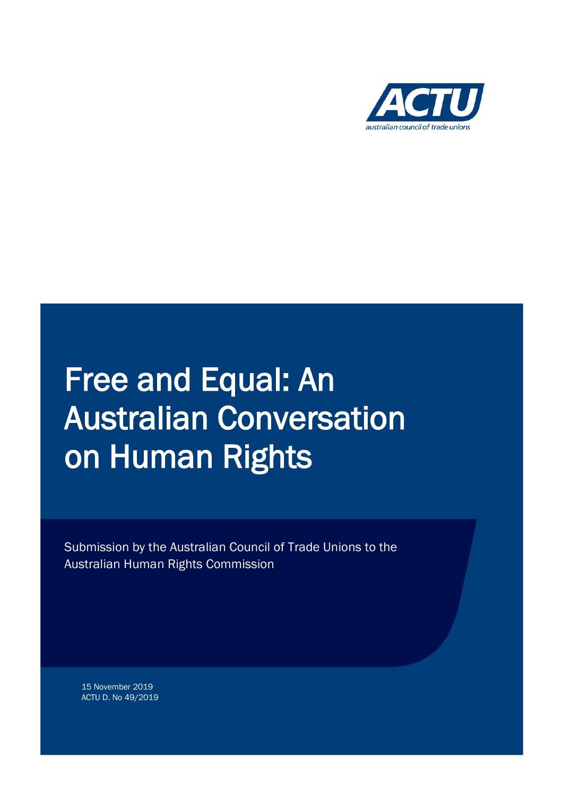

# Free and Equal: An Australian Conversation on Human Rights

Submission by the Australian Council of Trade Unions to the Australian Human Rights Commission

15 November 2019 ACTU D. No 49/2019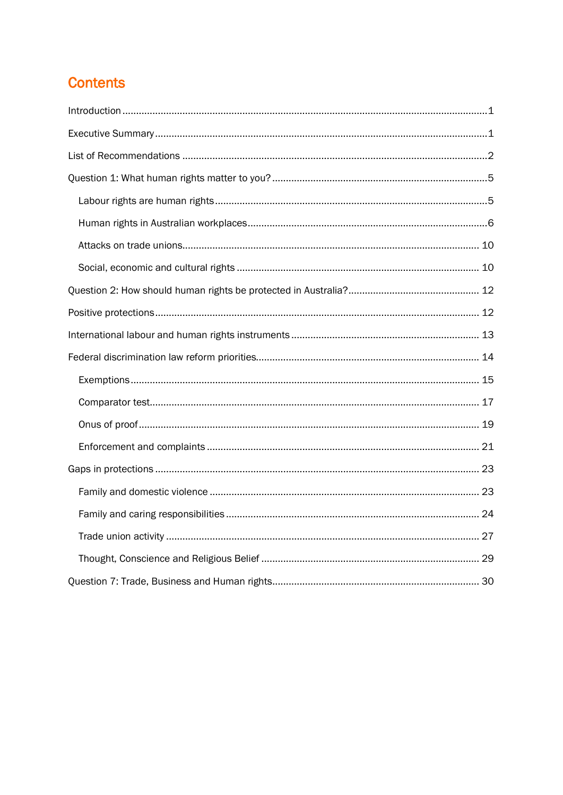# **Contents**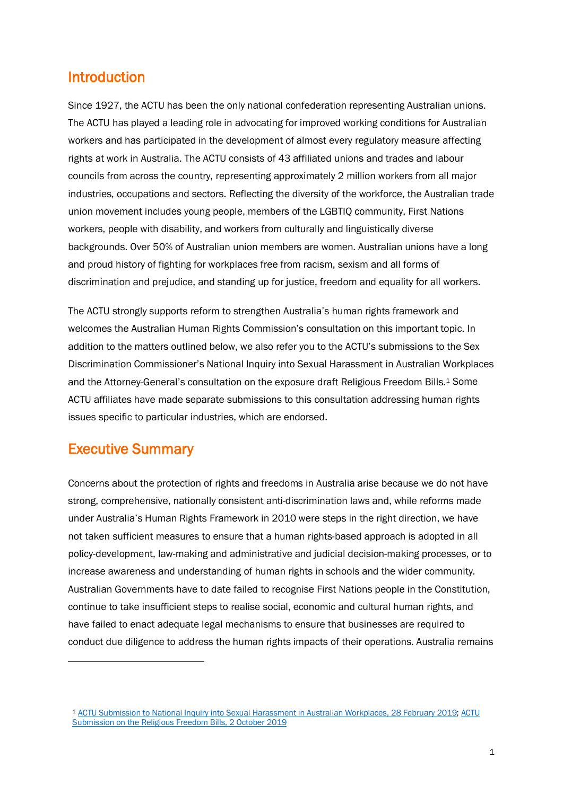## Introduction

Since 1927, the ACTU has been the only national confederation representing Australian unions. The ACTU has played a leading role in advocating for improved working conditions for Australian workers and has participated in the development of almost every regulatory measure affecting rights at work in Australia. The ACTU consists of 43 affiliated unions and trades and labour councils from across the country, representing approximately 2 million workers from all major industries, occupations and sectors. Reflecting the diversity of the workforce, the Australian trade union movement includes young people, members of the LGBTIQ community, First Nations workers, people with disability, and workers from culturally and linguistically diverse backgrounds. Over 50% of Australian union members are women. Australian unions have a long and proud history of fighting for workplaces free from racism, sexism and all forms of discrimination and prejudice, and standing up for justice, freedom and equality for all workers.

The ACTU strongly supports reform to strengthen Australia's human rights framework and welcomes the Australian Human Rights Commission's consultation on this important topic. In addition to the matters outlined below, we also refer you to the ACTU's submissions to the Sex Discrimination Commissioner's National Inquiry into Sexual Harassment in Australian Workplaces and the Attorney-General's consultation on the exposure draft Religious Freedom Bills.[1](#page-2-0) Some ACTU affiliates have made separate submissions to this consultation addressing human rights issues specific to particular industries, which are endorsed.

# Executive Summary

 $\ddot{\phantom{a}}$ 

Concerns about the protection of rights and freedoms in Australia arise because we do not have strong, comprehensive, nationally consistent anti-discrimination laws and, while reforms made under Australia's Human Rights Framework in 2010 were steps in the right direction, we have not taken sufficient measures to ensure that a human rights-based approach is adopted in all policy-development, law-making and administrative and judicial decision-making processes, or to increase awareness and understanding of human rights in schools and the wider community. Australian Governments have to date failed to recognise First Nations people in the Constitution, continue to take insufficient steps to realise social, economic and cultural human rights, and have failed to enact adequate legal mechanisms to ensure that businesses are required to conduct due diligence to address the human rights impacts of their operations. Australia remains

<span id="page-2-0"></span><sup>1</sup> [ACTU Submission to National Inquiry into Sexual Harassment in Australian Workplaces, 28 February 2019;](http://www.humanrights.gov.au/sites/default/files/2019-05/submission_306_-_australian_council_of_trade_unions_actu.pdf) [ACTU](https://www.ag.gov.au/Consultations/Documents/religious-freedom-bills/submissions/Australian%20Council%20of%20Trade%20Unions.pdf)  [Submission on the Religious Freedom Bills, 2 October 2019](https://www.ag.gov.au/Consultations/Documents/religious-freedom-bills/submissions/Australian%20Council%20of%20Trade%20Unions.pdf)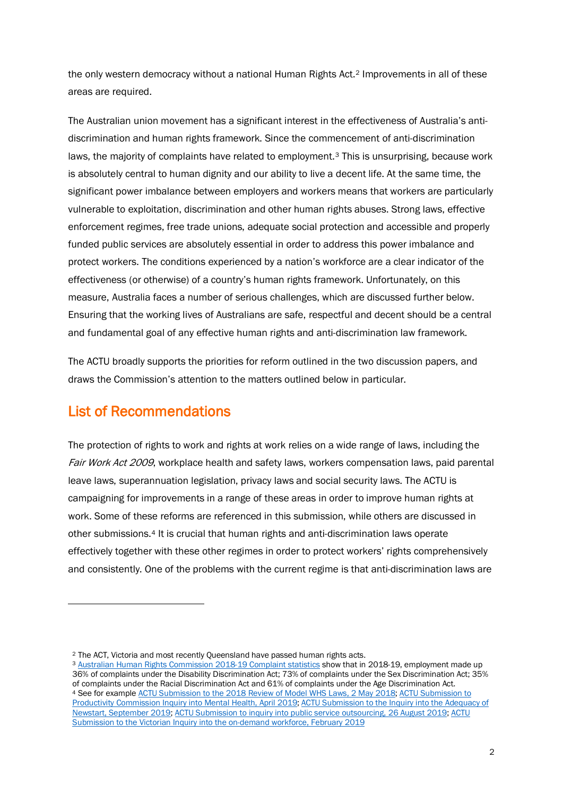the only western democracy without a national Human Rights Act.[2](#page-3-0) Improvements in all of these areas are required.

The Australian union movement has a significant interest in the effectiveness of Australia's antidiscrimination and human rights framework. Since the commencement of anti-discrimination laws, the majority of complaints have related to employment.[3](#page-3-1) This is unsurprising, because work is absolutely central to human dignity and our ability to live a decent life. At the same time, the significant power imbalance between employers and workers means that workers are particularly vulnerable to exploitation, discrimination and other human rights abuses. Strong laws, effective enforcement regimes, free trade unions, adequate social protection and accessible and properly funded public services are absolutely essential in order to address this power imbalance and protect workers. The conditions experienced by a nation's workforce are a clear indicator of the effectiveness (or otherwise) of a country's human rights framework. Unfortunately, on this measure, Australia faces a number of serious challenges, which are discussed further below. Ensuring that the working lives of Australians are safe, respectful and decent should be a central and fundamental goal of any effective human rights and anti-discrimination law framework.

The ACTU broadly supports the priorities for reform outlined in the two discussion papers, and draws the Commission's attention to the matters outlined below in particular.

# List of Recommendations

1

The protection of rights to work and rights at work relies on a wide range of laws, including the Fair Work Act 2009, workplace health and safety laws, workers compensation laws, paid parental leave laws, superannuation legislation, privacy laws and social security laws. The ACTU is campaigning for improvements in a range of these areas in order to improve human rights at work. Some of these reforms are referenced in this submission, while others are discussed in other submissions.[4](#page-3-2) It is crucial that human rights and anti-discrimination laws operate effectively together with these other regimes in order to protect workers' rights comprehensively and consistently. One of the problems with the current regime is that anti-discrimination laws are

<span id="page-3-0"></span><sup>2</sup> The ACT, Victoria and most recently Queensland have passed human rights acts.

<span id="page-3-2"></span><span id="page-3-1"></span><sup>&</sup>lt;sup>3</sup> [Australian Human Rights Commission 2018-19 Complaint statistics](https://www.humanrights.gov.au/sites/default/files/2019-10/AHRC_AR_2018-19_Stats_Tables_%28Final%29.pdf) show that in 2018-19, employment made up 36% of complaints under the Disability Discrimination Act; 73% of complaints under the Sex Discrimination Act; 35% of complaints under the Racial Discrimination Act and 61% of complaints under the Age Discrimination Act. <sup>4</sup> See for example [ACTU Submission to the 2018 Review of Model WHS Laws, 2 May 2018;](https://engage.swa.gov.au/32134/documents/78522) [ACTU Submission to](https://pc-search.squiz.cloud/s/redirect?collection=productivity-commission-sub-web&url=https%3A%2F%2Fwww.pc.gov.au%2F__data%2Fassets%2Fpdf_file%2F0005%2F241187%2Fsub452-mental-health.pdf&auth=D29yij38uFGXXboqr35VXQ&profile=_default&rank=1&query=ACTU+%7CT%3A%22%24%2B%2B+mental+health+%24%2B%2B%22)  [Productivity Commission Inquiry into Mental Health, April 2019;](https://pc-search.squiz.cloud/s/redirect?collection=productivity-commission-sub-web&url=https%3A%2F%2Fwww.pc.gov.au%2F__data%2Fassets%2Fpdf_file%2F0005%2F241187%2Fsub452-mental-health.pdf&auth=D29yij38uFGXXboqr35VXQ&profile=_default&rank=1&query=ACTU+%7CT%3A%22%24%2B%2B+mental+health+%24%2B%2B%22) [ACTU Submission to the Inquiry into the Adequacy of](https://www.actu.org.au/media/1385745/d40-actu-submission-to-the-inquiry-into-the-adequacy-of-newstart-september-2019.pdf)  [Newstart, September 2019;](https://www.actu.org.au/media/1385745/d40-actu-submission-to-the-inquiry-into-the-adequacy-of-newstart-september-2019.pdf) [ACTU Submission to inquiry into public service outsourcing, 26 August 2019;](https://www.actu.org.au/media/1385710/d30-actu-submission-senate-inquiry-public-service-outsourcing.pdf) [ACTU](https://www.actu.org.au/media/1385463/d6-actu-submission-to-victorian-on-demand-workforce-inquiry.pdf)  [Submission to the Victorian Inquiry into the on-demand workforce, February 2019](https://www.actu.org.au/media/1385463/d6-actu-submission-to-victorian-on-demand-workforce-inquiry.pdf)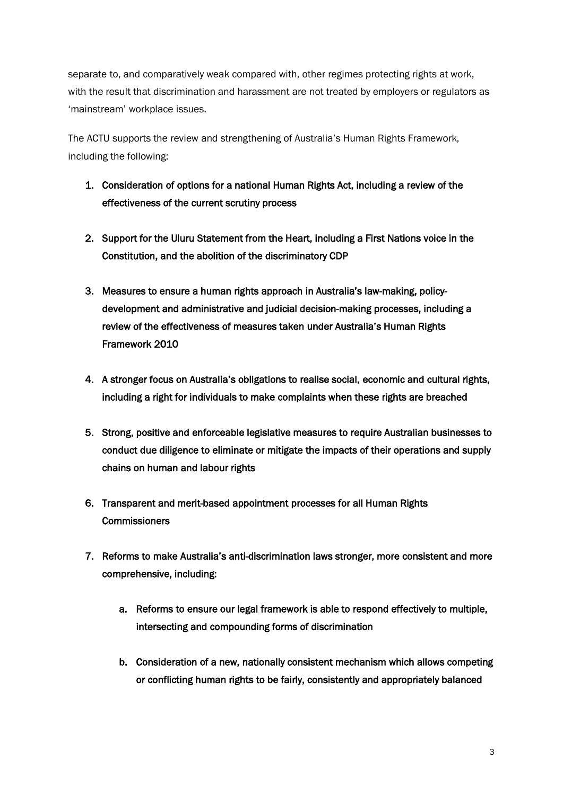separate to, and comparatively weak compared with, other regimes protecting rights at work, with the result that discrimination and harassment are not treated by employers or regulators as 'mainstream' workplace issues.

The ACTU supports the review and strengthening of Australia's Human Rights Framework, including the following:

- 1. Consideration of options for a national Human Rights Act, including a review of the effectiveness of the current scrutiny process
- 2. Support for the Uluru Statement from the Heart, including a First Nations voice in the Constitution, and the abolition of the discriminatory CDP
- 3. Measures to ensure a human rights approach in Australia's law-making, policydevelopment and administrative and judicial decision-making processes, including a review of the effectiveness of measures taken under Australia's Human Rights Framework 2010
- 4. A stronger focus on Australia's obligations to realise social, economic and cultural rights, including a right for individuals to make complaints when these rights are breached
- 5. Strong, positive and enforceable legislative measures to require Australian businesses to conduct due diligence to eliminate or mitigate the impacts of their operations and supply chains on human and labour rights
- 6. Transparent and merit-based appointment processes for all Human Rights **Commissioners**
- 7. Reforms to make Australia's anti-discrimination laws stronger, more consistent and more comprehensive, including:
	- a. Reforms to ensure our legal framework is able to respond effectively to multiple, intersecting and compounding forms of discrimination
	- b. Consideration of a new, nationally consistent mechanism which allows competing or conflicting human rights to be fairly, consistently and appropriately balanced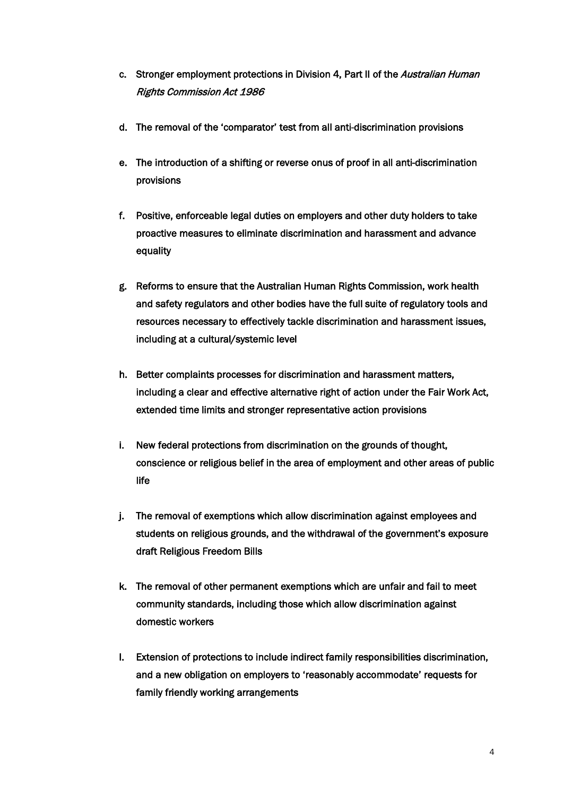- c. Stronger employment protections in Division 4, Part II of the *Australian Human* Rights Commission Act 1986
- d. The removal of the 'comparator' test from all anti-discrimination provisions
- e. The introduction of a shifting or reverse onus of proof in all anti-discrimination provisions
- f. Positive, enforceable legal duties on employers and other duty holders to take proactive measures to eliminate discrimination and harassment and advance equality
- g. Reforms to ensure that the Australian Human Rights Commission, work health and safety regulators and other bodies have the full suite of regulatory tools and resources necessary to effectively tackle discrimination and harassment issues, including at a cultural/systemic level
- h. Better complaints processes for discrimination and harassment matters, including a clear and effective alternative right of action under the Fair Work Act, extended time limits and stronger representative action provisions
- i. New federal protections from discrimination on the grounds of thought, conscience or religious belief in the area of employment and other areas of public life
- j. The removal of exemptions which allow discrimination against employees and students on religious grounds, and the withdrawal of the government's exposure draft Religious Freedom Bills
- k. The removal of other permanent exemptions which are unfair and fail to meet community standards, including those which allow discrimination against domestic workers
- l. Extension of protections to include indirect family responsibilities discrimination, and a new obligation on employers to 'reasonably accommodate' requests for family friendly working arrangements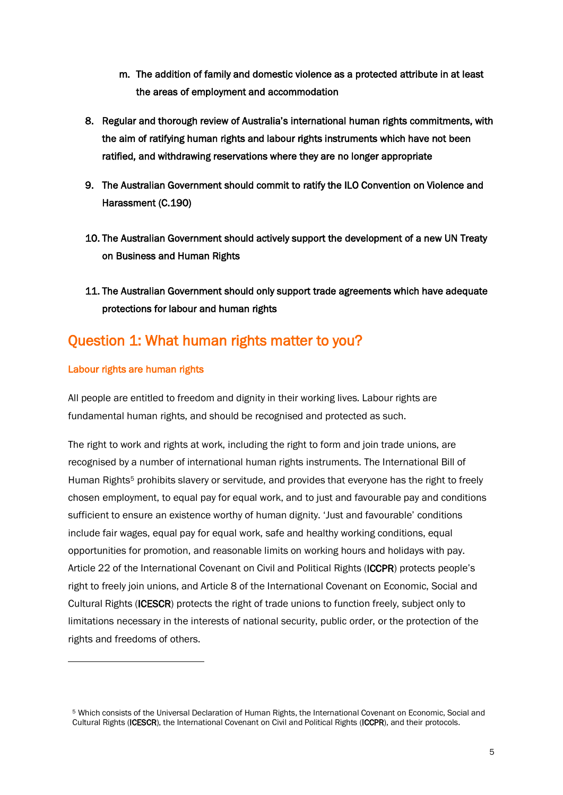- m. The addition of family and domestic violence as a protected attribute in at least the areas of employment and accommodation
- 8. Regular and thorough review of Australia's international human rights commitments, with the aim of ratifying human rights and labour rights instruments which have not been ratified, and withdrawing reservations where they are no longer appropriate
- 9. The Australian Government should commit to ratify the ILO Convention on Violence and Harassment (C.190)
- 10. The Australian Government should actively support the development of a new UN Treaty on Business and Human Rights
- 11. The Australian Government should only support trade agreements which have adequate protections for labour and human rights

# Question 1: What human rights matter to you?

## Labour rights are human rights

 $\ddot{\phantom{a}}$ 

All people are entitled to freedom and dignity in their working lives. Labour rights are fundamental human rights, and should be recognised and protected as such.

The right to work and rights at work, including the right to form and join trade unions, are recognised by a number of international human rights instruments. The International Bill of Human Rights<sup>[5](#page-6-0)</sup> prohibits slavery or servitude, and provides that everyone has the right to freely chosen employment, to equal pay for equal work, and to just and favourable pay and conditions sufficient to ensure an existence worthy of human dignity. 'Just and favourable' conditions include fair wages, equal pay for equal work, safe and healthy working conditions, equal opportunities for promotion, and reasonable limits on working hours and holidays with pay. Article 22 of the International Covenant on Civil and Political Rights (ICCPR) protects people's right to freely join unions, and Article 8 of the International Covenant on Economic, Social and Cultural Rights (ICESCR) protects the right of trade unions to function freely, subject only to limitations necessary in the interests of national security, public order, or the protection of the rights and freedoms of others.

<span id="page-6-0"></span><sup>5</sup> Which consists of the Universal Declaration of Human Rights, the International Covenant on Economic, Social and Cultural Rights (ICESCR), the International Covenant on Civil and Political Rights (ICCPR), and their protocols.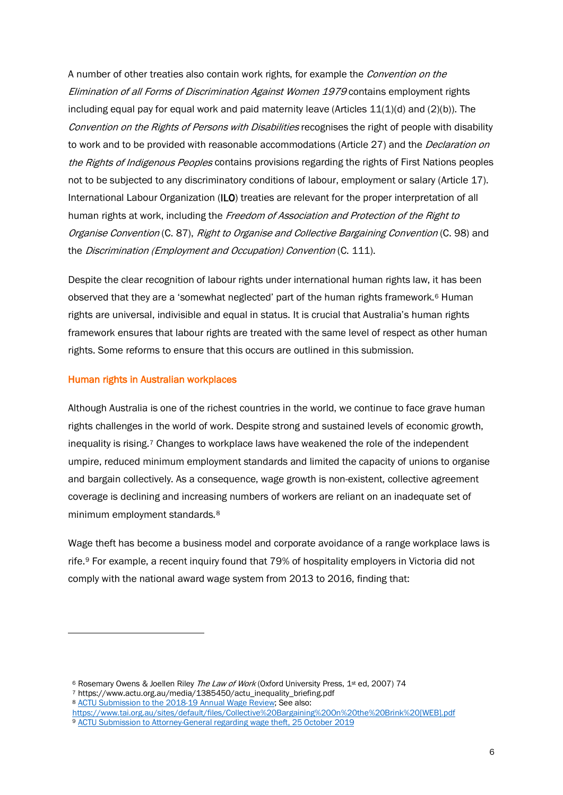A number of other treaties also contain work rights, for example the *Convention on the* Elimination of all Forms of Discrimination Against Women 1979 contains employment rights including equal pay for equal work and paid maternity leave (Articles 11(1)(d) and (2)(b)). The Convention on the Rights of Persons with Disabilities recognises the right of people with disability to work and to be provided with reasonable accommodations (Article 27) and the *Declaration on* the Rights of Indigenous Peoples contains provisions regarding the rights of First Nations peoples not to be subjected to any discriminatory conditions of labour, employment or salary (Article 17). International Labour Organization (ILO) treaties are relevant for the proper interpretation of all human rights at work, including the Freedom of Association and Protection of the Right to Organise Convention (C. 87), Right to Organise and Collective Bargaining Convention (C. 98) and the Discrimination (Employment and Occupation) Convention (C. 111).

Despite the clear recognition of labour rights under international human rights law, it has been observed that they are a 'somewhat neglected' part of the human rights framework.<sup>[6](#page-7-0)</sup> Human rights are universal, indivisible and equal in status. It is crucial that Australia's human rights framework ensures that labour rights are treated with the same level of respect as other human rights. Some reforms to ensure that this occurs are outlined in this submission.

#### Human rights in Australian workplaces

1

Although Australia is one of the richest countries in the world, we continue to face grave human rights challenges in the world of work. Despite strong and sustained levels of economic growth, inequality is rising[.7](#page-7-1) Changes to workplace laws have weakened the role of the independent umpire, reduced minimum employment standards and limited the capacity of unions to organise and bargain collectively. As a consequence, wage growth is non-existent, collective agreement coverage is declining and increasing numbers of workers are reliant on an inadequate set of minimum employment standards.[8](#page-7-2)

Wage theft has become a business model and corporate avoidance of a range workplace laws is rife[.9](#page-7-3) For example, a recent inquiry found that 79% of hospitality employers in Victoria did not comply with the national award wage system from 2013 to 2016, finding that:

<span id="page-7-1"></span><span id="page-7-0"></span><sup>&</sup>lt;sup>6</sup> Rosemary Owens & Joellen Riley The Law of Work (Oxford University Press, 1st ed, 2007) 74

<sup>7</sup> https://www.actu.org.au/media/1385450/actu\_inequality\_briefing.pdf

<span id="page-7-2"></span><sup>8</sup> [ACTU Submission to the 2018-19 Annual Wage Review;](https://www.actu.org.au/media/1385480/d11-actu-submission-to-the-2018-19-annual-wage-review.pdf) See also:

<span id="page-7-3"></span>[https://www.tai.org.au/sites/default/files/Collective%20Bargaining%20On%20the%20Brink%20\[WEB\].pdf](https://www.tai.org.au/sites/default/files/Collective%20Bargaining%20On%20the%20Brink%20%5bWEB%5d.pdf) <sup>9</sup> [ACTU Submission to Attorney-General regarding wage theft, 25 October 2019](https://www.actu.org.au/media/1385754/d45-actu-submission-re-improving-protections-of-employees-wages-and-entitlements-strengthening-penalties-for-non-compliance-october-2019.pdf)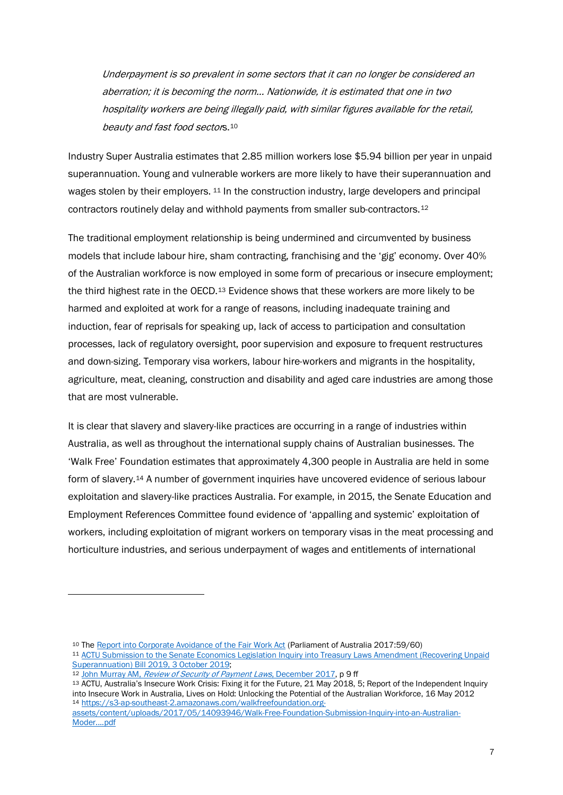Underpayment is so prevalent in some sectors that it can no longer be considered an aberration; it is becoming the norm… Nationwide, it is estimated that one in two hospitality workers are being illegally paid, with similar figures available for the retail, beauty and fast food sectors.<sup>[10](#page-8-0)</sup>

Industry Super Australia estimates that 2.85 million workers lose \$5.94 billion per year in unpaid superannuation. Young and vulnerable workers are more likely to have their superannuation and wages stolen by their employers. <sup>[11](#page-8-1)</sup> In the construction industry, large developers and principal contractors routinely delay and withhold payments from smaller sub-contractors.[12](#page-8-2)

The traditional employment relationship is being undermined and circumvented by business models that include labour hire, sham contracting, franchising and the 'gig' economy. Over 40% of the Australian workforce is now employed in some form of precarious or insecure employment; the third highest rate in the OECD.<sup>[13](#page-8-3)</sup> Evidence shows that these workers are more likely to be harmed and exploited at work for a range of reasons, including inadequate training and induction, fear of reprisals for speaking up, lack of access to participation and consultation processes, lack of regulatory oversight, poor supervision and exposure to frequent restructures and down-sizing. Temporary visa workers, labour hire-workers and migrants in the hospitality, agriculture, meat, cleaning, construction and disability and aged care industries are among those that are most vulnerable.

It is clear that slavery and slavery-like practices are occurring in a range of industries within Australia, as well as throughout the international supply chains of Australian businesses. The 'Walk Free' Foundation estimates that approximately 4,300 people in Australia are held in some form of slavery.[14](#page-8-4) A number of government inquiries have uncovered evidence of serious labour exploitation and slavery-like practices Australia. For example, in 2015, the Senate Education and Employment References Committee found evidence of 'appalling and systemic' exploitation of workers, including exploitation of migrant workers on temporary visas in the meat processing and horticulture industries, and serious underpayment of wages and entitlements of international

 $\overline{a}$ 

<span id="page-8-0"></span><sup>10</sup> Th[e Report into Corporate Avoidance of the Fair Work Act](https://www.aph.gov.au/Parliamentary_Business/Committees/Senate/Education_and_Employment/AvoidanceofFairWork/%7E/media/Committees/eet_ctte/AvoidanceofFairWork/report.pdf) (Parliament of Australia 2017:59/60)

<span id="page-8-1"></span><sup>11</sup> [ACTU Submission to the Senate Economics Legislation Inquiry into Treasury Laws Amendment \(Recovering Unpaid](https://www.actu.org.au/media/1385746/d41-actu-submission-to-tla-recovering-unpaid-superannuation-bill-2019.pdf)  [Superannuation\) Bill 2019, 3 October 2019;](https://www.actu.org.au/media/1385746/d41-actu-submission-to-tla-recovering-unpaid-superannuation-bill-2019.pdf)

<sup>12</sup> John Murray AM, [Review of Security of Payment Laws](https://www.ag.gov.au/industrial-relations/industrial-relations-publications/Pages/review-security-payment-laws.aspx), December 2017, p 9 ff

<span id="page-8-3"></span><span id="page-8-2"></span><sup>13</sup> ACTU, Australia's Insecure Work Crisis: Fixing it for the Future, 21 May 2018, 5; Report of the Independent Inquiry into Insecure Work in Australia, Lives on Hold: Unlocking the Potential of the Australian Workforce, 16 May 2012 <sup>14</sup> [https://s3-ap-southeast-2.amazonaws.com/walkfreefoundation.org-](https://s3-ap-southeast-2.amazonaws.com/walkfreefoundation.org-assets/content/uploads/2017/05/14093946/Walk-Free-Foundation-Submission-Inquiry-into-an-Australian-Moder....pdf)

<span id="page-8-4"></span>[assets/content/uploads/2017/05/14093946/Walk-Free-Foundation-Submission-Inquiry-into-an-Australian-](https://s3-ap-southeast-2.amazonaws.com/walkfreefoundation.org-assets/content/uploads/2017/05/14093946/Walk-Free-Foundation-Submission-Inquiry-into-an-Australian-Moder....pdf)[Moder....pdf](https://s3-ap-southeast-2.amazonaws.com/walkfreefoundation.org-assets/content/uploads/2017/05/14093946/Walk-Free-Foundation-Submission-Inquiry-into-an-Australian-Moder....pdf)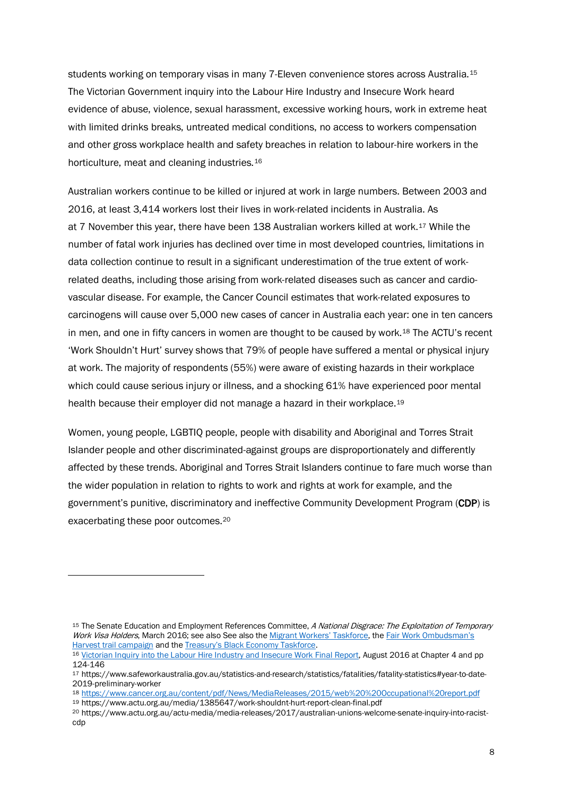students working on temporary visas in many 7-Eleven convenience stores across Australia.[15](#page-9-0) The Victorian Government inquiry into the Labour Hire Industry and Insecure Work heard evidence of abuse, violence, sexual harassment, excessive working hours, work in extreme heat with limited drinks breaks, untreated medical conditions, no access to workers compensation and other gross workplace health and safety breaches in relation to labour-hire workers in the horticulture, meat and cleaning industries.[16](#page-9-1)

Australian workers continue to be killed or injured at work in large numbers. Between 2003 and 2016, at least 3,414 workers lost their lives in work-related incidents in Australia. As at 7 November this year, there have been 138 Australian workers killed at work.[17](#page-9-2) While the number of fatal work injuries has declined over time in most developed countries, limitations in data collection continue to result in a significant underestimation of the true extent of workrelated deaths, including those arising from work-related diseases such as cancer and cardiovascular disease. For example, the Cancer Council estimates that work-related exposures to carcinogens will cause over 5,000 new cases of cancer in Australia each year: one in ten cancers in men, and one in fifty cancers in women are thought to be caused by work.[18](#page-9-3) The ACTU's recent 'Work Shouldn't Hurt' survey shows that 79% of people have suffered a mental or physical injury at work. The majority of respondents (55%) were aware of existing hazards in their workplace which could cause serious injury or illness, and a shocking 61% have experienced poor mental health because their employer did not manage a hazard in their workplace.[19](#page-9-4)

Women, young people, LGBTIQ people, people with disability and Aboriginal and Torres Strait Islander people and other discriminated-against groups are disproportionately and differently affected by these trends. Aboriginal and Torres Strait Islanders continue to fare much worse than the wider population in relation to rights to work and rights at work for example, and the government's punitive, discriminatory and ineffective Community Development Program (CDP) is exacerbating these poor outcomes.[20](#page-9-5)

<span id="page-9-0"></span><sup>&</sup>lt;sup>15</sup> The Senate Education and Employment References Committee, A National Disgrace: The Exploitation of Temporary Work Visa Holders, March 2016; see also See also the [Migrant Workers' Taskforce,](https://www.employment.gov.au/migrant-workers-taskforce) the Fair Work Ombudsman's [Harvest trail campaign](https://www.fairwork.gov.au/how-we-will-help/helping-the-community/campaigns/national-campaigns/harvest-trail-campaign) and th[e Treasury's Black Economy Taskforce.](https://treasury.gov.au/review/black-economy-taskforce/)

<span id="page-9-1"></span><sup>16</sup> [Victorian Inquiry into the Labour Hire Industry and Insecure Work Final Report,](https://djpr.vic.gov.au/__data/assets/pdf_file/0016/1390111/IRV-Inquiry-Final-Report-.pdf) August 2016 at Chapter 4 and pp 124-146

<span id="page-9-2"></span><sup>17</sup> https://www.safeworkaustralia.gov.au/statistics-and-research/statistics/fatalities/fatality-statistics#year-to-date-2019-preliminary-worker

<span id="page-9-3"></span><sup>18</sup> <https://www.cancer.org.au/content/pdf/News/MediaReleases/2015/web%20%20Occupational%20report.pdf> <sup>19</sup> https://www.actu.org.au/media/1385647/work-shouldnt-hurt-report-clean-final.pdf

<span id="page-9-5"></span><span id="page-9-4"></span><sup>20</sup> https://www.actu.org.au/actu-media/media-releases/2017/australian-unions-welcome-senate-inquiry-into-racistcdp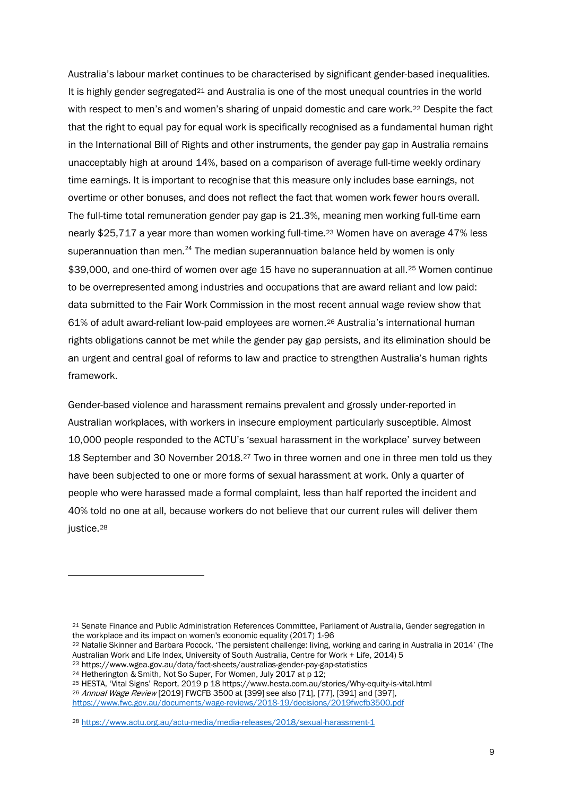Australia's labour market continues to be characterised by significant gender-based inequalities. It is highly gender segregate[d21](#page-10-0) and Australia is one of the most unequal countries in the world with respect to men's and women's sharing of unpaid domestic and care work.<sup>[22](#page-10-1)</sup> Despite the fact that the right to equal pay for equal work is specifically recognised as a fundamental human right in the International Bill of Rights and other instruments, the gender pay gap in Australia remains unacceptably high at around 14%, based on a comparison of average full-time weekly ordinary time earnings. It is important to recognise that this measure only includes base earnings, not overtime or other bonuses, and does not reflect the fact that women work fewer hours overall. The full-time total remuneration gender pay gap is 21.3%, meaning men working full-time earn nearly \$25,717 a year more than women working full-time.[23](#page-10-2) Women have on average 47% less superannuation than men.<sup>[24](#page-10-3)</sup> The median superannuation balance held by women is only \$39,000, and one-third of women over age 15 have no superannuation at all.<sup>[25](#page-10-4)</sup> Women continue to be overrepresented among industries and occupations that are award reliant and low paid: data submitted to the Fair Work Commission in the most recent annual wage review show that 61% of adult award-reliant low-paid employees are women.[26](#page-10-5) Australia's international human rights obligations cannot be met while the gender pay gap persists, and its elimination should be an urgent and central goal of reforms to law and practice to strengthen Australia's human rights framework.

Gender-based violence and harassment remains prevalent and grossly under-reported in Australian workplaces, with workers in insecure employment particularly susceptible. Almost 10,000 people responded to the ACTU's 'sexual harassment in the workplace' survey between 18 September and 30 November 2018.[27](#page-10-6) Two in three women and one in three men told us they have been subjected to one or more forms of sexual harassment at work. Only a quarter of people who were harassed made a formal complaint, less than half reported the incident and 40% told no one at all, because workers do not believe that our current rules will deliver them justice.<sup>[28](#page-10-7)</sup>

<span id="page-10-0"></span><sup>21</sup> Senate Finance and Public Administration References Committee, Parliament of Australia, Gender segregation in the workplace and its impact on women's economic equality (2017) 1-96

<span id="page-10-1"></span><sup>22</sup> Natalie Skinner and Barbara Pocock, 'The persistent challenge: living, working and caring in Australia in 2014' (The Australian Work and Life Index, University of South Australia, Centre for Work + Life, 2014) 5

<span id="page-10-2"></span> $^{23}$  https://www.wgea.gov.au/data/fact-sheets/australias-gender-pay-gap-statistics  $^{24}$  Hetherington & Smith, Not So Super, For Women, July 2017 at p 12;

<span id="page-10-3"></span>

<span id="page-10-4"></span><sup>&</sup>lt;sup>25</sup> HESTA, 'Vital Signs' Report, 2019 p 18 https://www.hesta.com.au/stories/Why-equity-is-vital.html

<span id="page-10-5"></span><sup>26</sup> Annual Wage Review [2019] FWCFB 3500 at [399] see also [71], [77], [391] and [397], <https://www.fwc.gov.au/documents/wage-reviews/2018-19/decisions/2019fwcfb3500.pdf>

<span id="page-10-7"></span><span id="page-10-6"></span><sup>28</sup> <https://www.actu.org.au/actu-media/media-releases/2018/sexual-harassment-1>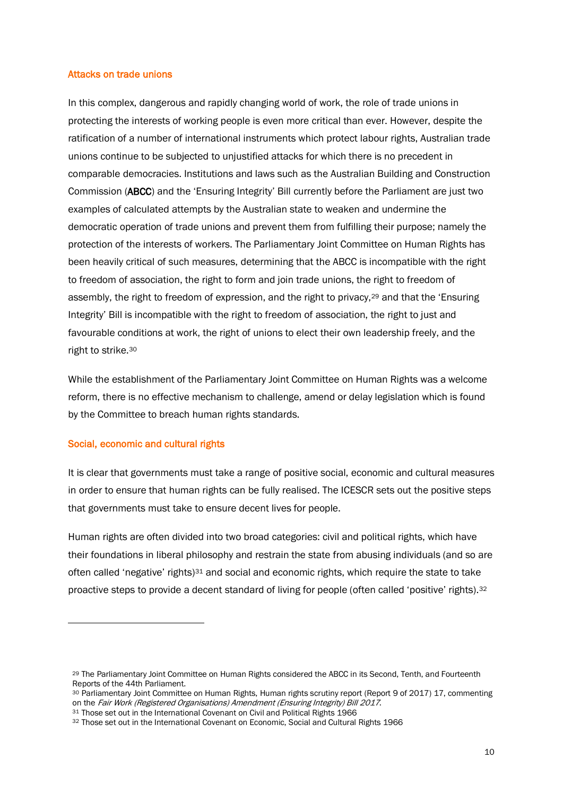#### Attacks on trade unions

In this complex, dangerous and rapidly changing world of work, the role of trade unions in protecting the interests of working people is even more critical than ever. However, despite the ratification of a number of international instruments which protect labour rights, Australian trade unions continue to be subjected to unjustified attacks for which there is no precedent in comparable democracies. Institutions and laws such as the Australian Building and Construction Commission (ABCC) and the 'Ensuring Integrity' Bill currently before the Parliament are just two examples of calculated attempts by the Australian state to weaken and undermine the democratic operation of trade unions and prevent them from fulfilling their purpose; namely the protection of the interests of workers. The Parliamentary Joint Committee on Human Rights has been heavily critical of such measures, determining that the ABCC is incompatible with the right to freedom of association, the right to form and join trade unions, the right to freedom of assembly, the right to freedom of expression, and the right to privacy,[29](#page-11-0) and that the 'Ensuring Integrity' Bill is incompatible with the right to freedom of association, the right to just and favourable conditions at work, the right of unions to elect their own leadership freely, and the right to strike.[30](#page-11-1)

While the establishment of the Parliamentary Joint Committee on Human Rights was a welcome reform, there is no effective mechanism to challenge, amend or delay legislation which is found by the Committee to breach human rights standards.

#### Social, economic and cultural rights

 $\ddot{\phantom{a}}$ 

It is clear that governments must take a range of positive social, economic and cultural measures in order to ensure that human rights can be fully realised. The ICESCR sets out the positive steps that governments must take to ensure decent lives for people.

Human rights are often divided into two broad categories: civil and political rights, which have their foundations in liberal philosophy and restrain the state from abusing individuals (and so are often called 'negative' rights)[31](#page-11-2) and social and economic rights, which require the state to take proactive steps to provide a decent standard of living for people (often called 'positive' rights).[32](#page-11-3)

<span id="page-11-0"></span><sup>29</sup> The Parliamentary Joint Committee on Human Rights considered the ABCC in its Second, Tenth, and Fourteenth Reports of the 44th Parliament.

<span id="page-11-1"></span><sup>30</sup> Parliamentary Joint Committee on Human Rights, Human rights scrutiny report (Report 9 of 2017) 17, commenting on the Fair Work (Registered Organisations) Amendment (Ensuring Integrity) Bill 2017.

<span id="page-11-2"></span><sup>31</sup> Those set out in the International Covenant on Civil and Political Rights 1966

<span id="page-11-3"></span><sup>32</sup> Those set out in the International Covenant on Economic, Social and Cultural Rights 1966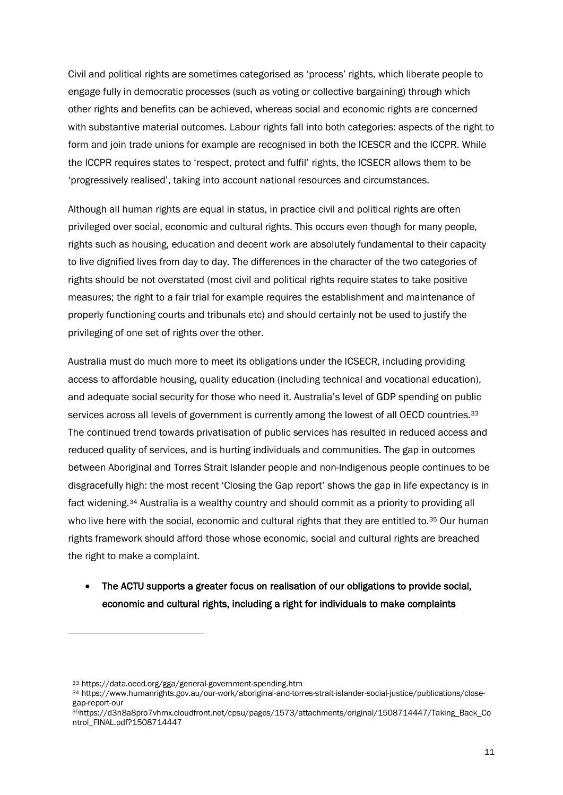Civil and political rights are sometimes categorised as 'process' rights, which liberate people to engage fully in democratic processes (such as voting or collective bargaining) through which other rights and benefits can be achieved, whereas social and economic rights are concerned with substantive material outcomes. Labour rights fall into both categories: aspects of the right to form and join trade unions for example are recognised in both the ICESCR and the ICCPR. While the ICCPR requires states to 'respect, protect and fulfil' rights, the ICSECR allows them to be 'progressively realised', taking into account national resources and circumstances.

Although all human rights are equal in status, in practice civil and political rights are often privileged over social, economic and cultural rights. This occurs even though for many people, rights such as housing, education and decent work are absolutely fundamental to their capacity to live dignified lives from day to day. The differences in the character of the two categories of rights should be not overstated (most civil and political rights require states to take positive measures; the right to a fair trial for example requires the establishment and maintenance of properly functioning courts and tribunals etc) and should certainly not be used to justify the privileging of one set of rights over the other.

Australia must do much more to meet its obligations under the ICSECR, including providing access to affordable housing, quality education (including technical and vocational education), and adequate social security for those who need it. Australia's level of GDP spending on public services across all levels of government is currently among the lowest of all OECD countries.<sup>[33](#page-12-0)</sup> The continued trend towards privatisation of public services has resulted in reduced access and reduced quality of services, and is hurting individuals and communities. The gap in outcomes between Aboriginal and Torres Strait Islander people and non-Indigenous people continues to be disgracefully high: the most recent 'Closing the Gap report' shows the gap in life expectancy is in fact widening.[34](#page-12-1) Australia is a wealthy country and should commit as a priority to providing all who live here with the social, economic and cultural rights that they are entitled to.<sup>[35](#page-12-2)</sup> Our human rights framework should afford those whose economic, social and cultural rights are breached the right to make a complaint.

## • The ACTU supports a greater focus on realisation of our obligations to provide social, economic and cultural rights, including a right for individuals to make complaints

<span id="page-12-1"></span><span id="page-12-0"></span><sup>33</sup> https://data.oecd.org/gga/general-government-spending.htm<br>34 https://www.humanrights.gov.au/our-work/aboriginal-and-torres-strait-islander-social-justice/publications/closegap-report-our

<span id="page-12-2"></span><sup>35</sup>https://d3n8a8pro7vhmx.cloudfront.net/cpsu/pages/1573/attachments/original/1508714447/Taking\_Back\_Co ntrol\_FINAL.pdf?1508714447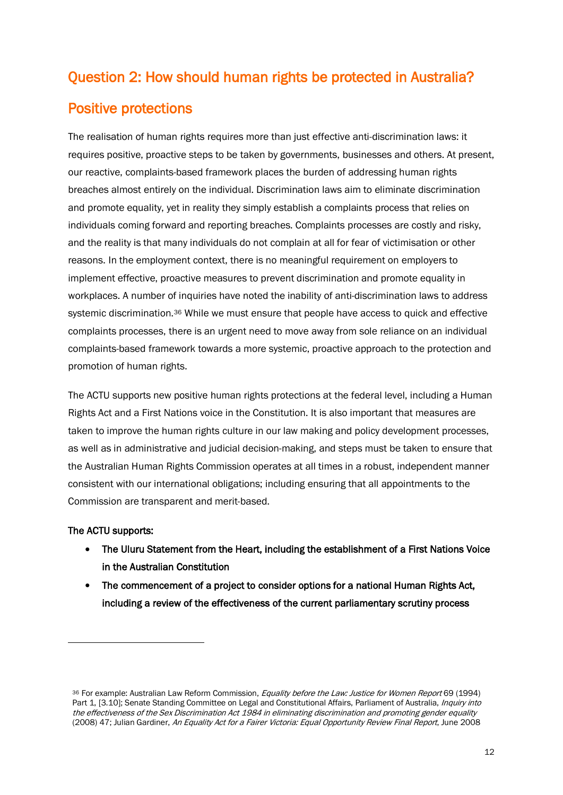# Question 2: How should human rights be protected in Australia?

# Positive protections

The realisation of human rights requires more than just effective anti-discrimination laws: it requires positive, proactive steps to be taken by governments, businesses and others. At present, our reactive, complaints-based framework places the burden of addressing human rights breaches almost entirely on the individual. Discrimination laws aim to eliminate discrimination and promote equality, yet in reality they simply establish a complaints process that relies on individuals coming forward and reporting breaches. Complaints processes are costly and risky, and the reality is that many individuals do not complain at all for fear of victimisation or other reasons. In the employment context, there is no meaningful requirement on employers to implement effective, proactive measures to prevent discrimination and promote equality in workplaces. A number of inquiries have noted the inability of anti-discrimination laws to address systemic discrimination.<sup>[36](#page-13-0)</sup> While we must ensure that people have access to quick and effective complaints processes, there is an urgent need to move away from sole reliance on an individual complaints-based framework towards a more systemic, proactive approach to the protection and promotion of human rights.

The ACTU supports new positive human rights protections at the federal level, including a Human Rights Act and a First Nations voice in the Constitution. It is also important that measures are taken to improve the human rights culture in our law making and policy development processes, as well as in administrative and judicial decision-making, and steps must be taken to ensure that the Australian Human Rights Commission operates at all times in a robust, independent manner consistent with our international obligations; including ensuring that all appointments to the Commission are transparent and merit-based.

### The ACTU supports:

- The Uluru Statement from the Heart, including the establishment of a First Nations Voice in the Australian Constitution
- The commencement of a project to consider options for a national Human Rights Act, including a review of the effectiveness of the current parliamentary scrutiny process

<span id="page-13-0"></span><sup>36</sup> For example: Australian Law Reform Commission, Equality before the Law: Justice for Women Report 69 (1994) Part 1, [3.10]; Senate Standing Committee on Legal and Constitutional Affairs, Parliament of Australia, *Inquiry into* the effectiveness of the Sex Discrimination Act 1984 in eliminating discrimination and promoting gender equality (2008) 47; Julian Gardiner, An Equality Act for a Fairer Victoria: Equal Opportunity Review Final Report, June 2008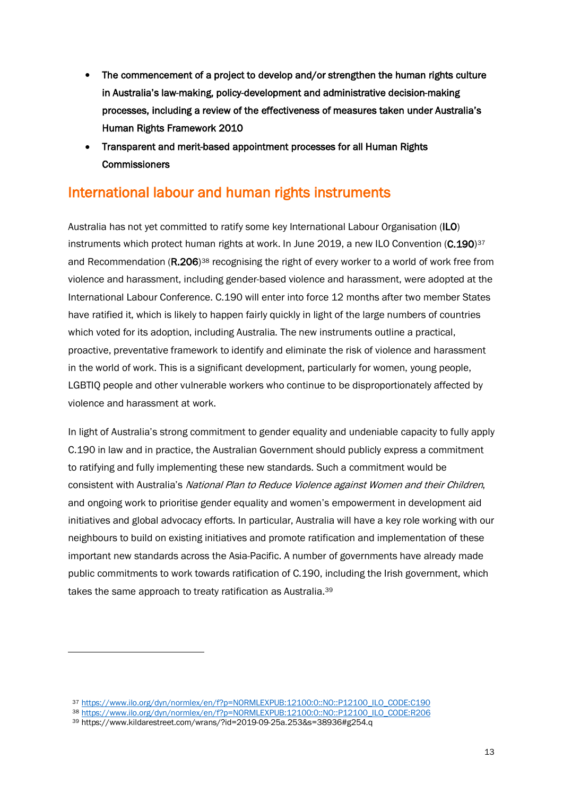- The commencement of a project to develop and/or strengthen the human rights culture in Australia's law-making, policy-development and administrative decision-making processes, including a review of the effectiveness of measures taken under Australia's Human Rights Framework 2010
- Transparent and merit-based appointment processes for all Human Rights **Commissioners**

# International labour and human rights instruments

Australia has not yet committed to ratify some key International Labour Organisation (ILO) instruments which protect human rights at work. In June 2019, a new ILO Convention (C.190)<sup>[37](#page-14-0)</sup> and Recommendation (R.206)<sup>[38](#page-14-1)</sup> recognising the right of every worker to a world of work free from violence and harassment, including gender-based violence and harassment, were adopted at the International Labour Conference. C.190 will enter into force 12 months after two member States have ratified it, which is likely to happen fairly quickly in light of the large numbers of countries which voted for its adoption, including Australia. The new instruments outline a practical, proactive, preventative framework to identify and eliminate the risk of violence and harassment in the world of work. This is a significant development, particularly for women, young people, LGBTIQ people and other vulnerable workers who continue to be disproportionately affected by violence and harassment at work.

In light of Australia's strong commitment to gender equality and undeniable capacity to fully apply C.190 in law and in practice, the Australian Government should publicly express a commitment to ratifying and fully implementing these new standards. Such a commitment would be consistent with Australia's National Plan to Reduce Violence against Women and their Children, and ongoing work to prioritise gender equality and women's empowerment in development aid initiatives and global advocacy efforts. In particular, Australia will have a key role working with our neighbours to build on existing initiatives and promote ratification and implementation of these important new standards across the Asia-Pacific. A number of governments have already made public commitments to work towards ratification of C.190, including the Irish government, which takes the same approach to treaty ratification as Australia.[39](#page-14-2)

 $\ddot{\phantom{a}}$ 

<sup>37</sup> [https://www.ilo.org/dyn/normlex/en/f?p=NORMLEXPUB:12100:0::NO::P12100\\_ILO\\_CODE:C190](https://www.ilo.org/dyn/normlex/en/f?p=NORMLEXPUB:12100:0::NO::P12100_ILO_CODE:C190)

<span id="page-14-1"></span><span id="page-14-0"></span><sup>38</sup> [https://www.ilo.org/dyn/normlex/en/f?p=NORMLEXPUB:12100:0::NO::P12100\\_ILO\\_CODE:R206](https://www.ilo.org/dyn/normlex/en/f?p=NORMLEXPUB:12100:0::NO::P12100_ILO_CODE:R206)

<span id="page-14-2"></span><sup>39</sup> https://www.kildarestreet.com/wrans/?id=2019-09-25a.253&s=38936#g254.q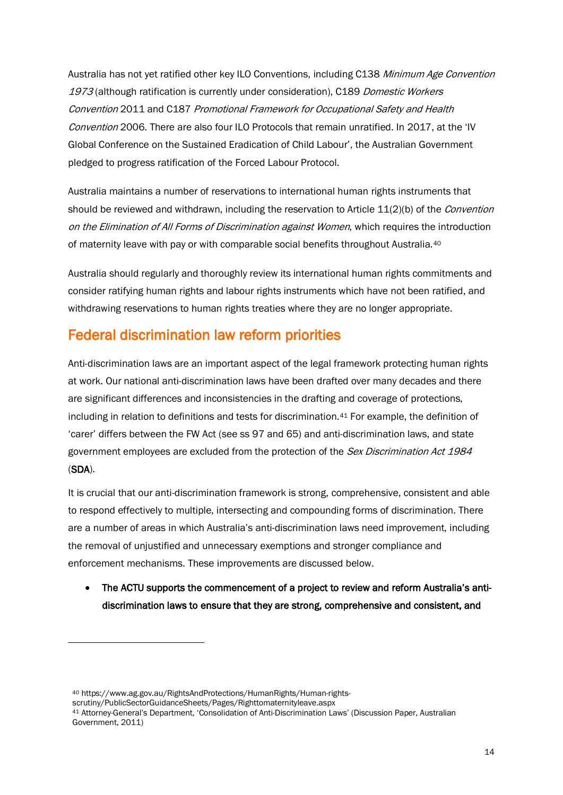Australia has not yet ratified other key ILO Conventions, including C138 Minimum Age Convention 1973 (although ratification is currently under consideration), C189 Domestic Workers Convention 2011 and C187 Promotional Framework for Occupational Safety and Health Convention 2006. There are also four ILO Protocols that remain unratified. In 2017, at the 'IV Global Conference on the Sustained Eradication of Child Labour', the Australian Government pledged to progress ratification of the Forced Labour Protocol.

Australia maintains a number of reservations to international human rights instruments that should be reviewed and withdrawn, including the reservation to Article 11(2)(b) of the *Convention* on the Elimination of All Forms of Discrimination against Women, which requires the introduction of maternity leave with pay or with comparable social benefits throughout Australia.[40](#page-15-0)

Australia should regularly and thoroughly review its international human rights commitments and consider ratifying human rights and labour rights instruments which have not been ratified, and withdrawing reservations to human rights treaties where they are no longer appropriate.

# Federal discrimination law reform priorities

1

Anti-discrimination laws are an important aspect of the legal framework protecting human rights at work. Our national anti-discrimination laws have been drafted over many decades and there are significant differences and inconsistencies in the drafting and coverage of protections, including in relation to definitions and tests for discrimination.[41](#page-15-1) For example, the definition of 'carer' differs between the FW Act (see ss 97 and 65) and anti-discrimination laws, and state government employees are excluded from the protection of the *Sex Discrimination Act 1984* (SDA).

It is crucial that our anti-discrimination framework is strong, comprehensive, consistent and able to respond effectively to multiple, intersecting and compounding forms of discrimination. There are a number of areas in which Australia's anti-discrimination laws need improvement, including the removal of unjustified and unnecessary exemptions and stronger compliance and enforcement mechanisms. These improvements are discussed below.

• The ACTU supports the commencement of a project to review and reform Australia's antidiscrimination laws to ensure that they are strong, comprehensive and consistent, and

<span id="page-15-1"></span><span id="page-15-0"></span><sup>40</sup> https://www.ag.gov.au/RightsAndProtections/HumanRights/Human-rightsscrutiny/PublicSectorGuidanceSheets/Pages/Righttomaternityleave.aspx <sup>41</sup> Attorney-General's Department, 'Consolidation of Anti-Discrimination Laws' (Discussion Paper, Australian Government, 2011)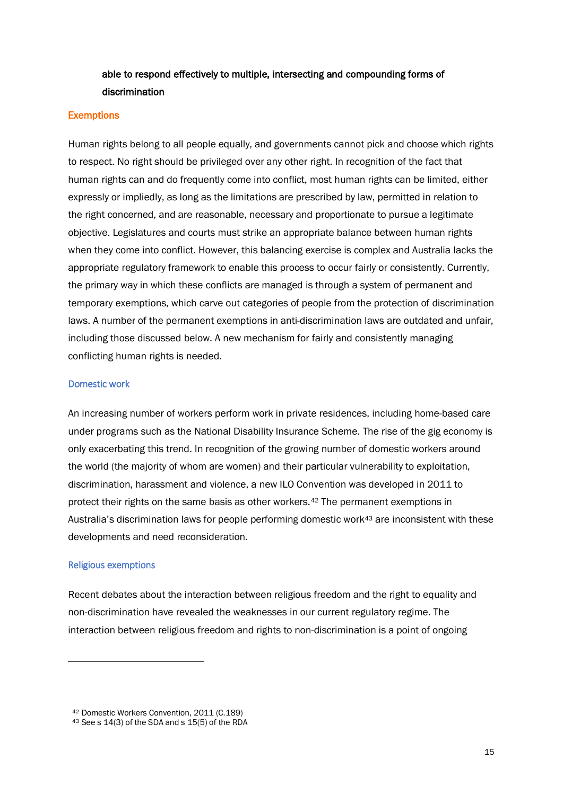## able to respond effectively to multiple, intersecting and compounding forms of discrimination

#### **Exemptions**

Human rights belong to all people equally, and governments cannot pick and choose which rights to respect. No right should be privileged over any other right. In recognition of the fact that human rights can and do frequently come into conflict, most human rights can be limited, either expressly or impliedly, as long as the limitations are prescribed by law, permitted in relation to the right concerned, and are reasonable, necessary and proportionate to pursue a legitimate objective. Legislatures and courts must strike an appropriate balance between human rights when they come into conflict. However, this balancing exercise is complex and Australia lacks the appropriate regulatory framework to enable this process to occur fairly or consistently. Currently, the primary way in which these conflicts are managed is through a system of permanent and temporary exemptions, which carve out categories of people from the protection of discrimination laws. A number of the permanent exemptions in anti-discrimination laws are outdated and unfair, including those discussed below. A new mechanism for fairly and consistently managing conflicting human rights is needed.

#### Domestic work

An increasing number of workers perform work in private residences, including home-based care under programs such as the National Disability Insurance Scheme. The rise of the gig economy is only exacerbating this trend. In recognition of the growing number of domestic workers around the world (the majority of whom are women) and their particular vulnerability to exploitation, discrimination, harassment and violence, a new ILO Convention was developed in 2011 to protect their rights on the same basis as other workers.[42](#page-16-0) The permanent exemptions in Australia's discrimination laws for people performing domestic work[43](#page-16-1) are inconsistent with these developments and need reconsideration.

#### Religious exemptions

 $\ddot{\phantom{a}}$ 

Recent debates about the interaction between religious freedom and the right to equality and non-discrimination have revealed the weaknesses in our current regulatory regime. The interaction between religious freedom and rights to non-discrimination is a point of ongoing

<span id="page-16-0"></span><sup>42</sup> Domestic Workers Convention, 2011 (C.189)

<span id="page-16-1"></span><sup>43</sup> See s 14(3) of the SDA and s 15(5) of the RDA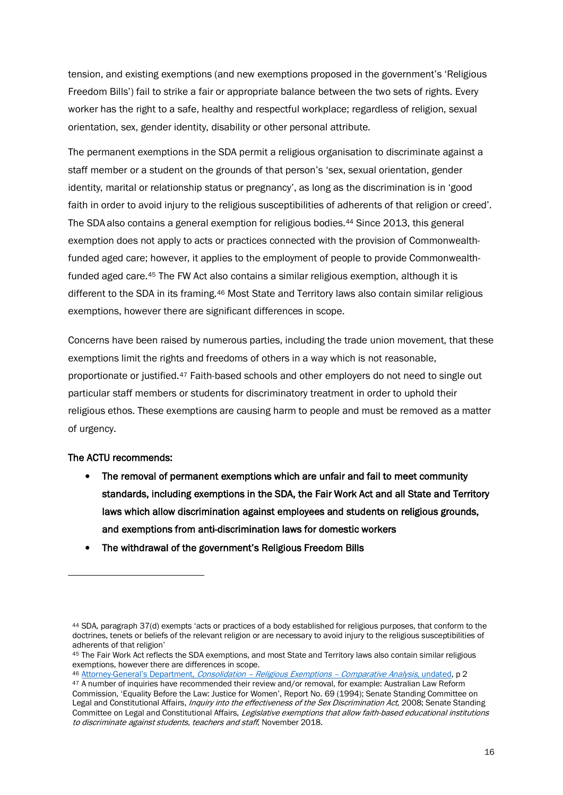tension, and existing exemptions (and new exemptions proposed in the government's 'Religious Freedom Bills') fail to strike a fair or appropriate balance between the two sets of rights. Every worker has the right to a safe, healthy and respectful workplace; regardless of religion, sexual orientation, sex, gender identity, disability or other personal attribute.

The permanent exemptions in the SDA permit a religious organisation to discriminate against a staff member or a student on the grounds of that person's 'sex, sexual orientation, gender identity, marital or relationship status or pregnancy', as long as the discrimination is in 'good faith in order to avoid injury to the religious susceptibilities of adherents of that religion or creed'. The SDA also contains a general exemption for religious bodies.[44](#page-17-0) Since 2013, this general exemption does not apply to acts or practices connected with the provision of Commonwealthfunded aged care; however, it applies to the employment of people to provide Commonwealthfunded aged care.[45](#page-17-1) The FW Act also contains a similar religious exemption, although it is different to the SDA in its framing.<sup>[46](#page-17-2)</sup> Most State and Territory laws also contain similar religious exemptions, however there are significant differences in scope.

Concerns have been raised by numerous parties, including the trade union movement, that these exemptions limit the rights and freedoms of others in a way which is not reasonable, proportionate or justified.[47](#page-17-3) Faith-based schools and other employers do not need to single out particular staff members or students for discriminatory treatment in order to uphold their religious ethos. These exemptions are causing harm to people and must be removed as a matter of urgency.

#### The ACTU recommends:

1

- The removal of permanent exemptions which are unfair and fail to meet community standards, including exemptions in the SDA, the Fair Work Act and all State and Territory laws which allow discrimination against employees and students on religious grounds, and exemptions from anti-discrimination laws for domestic workers
- The withdrawal of the government's Religious Freedom Bills

<span id="page-17-2"></span><sup>46</sup> [Attorney-General's Department,](https://www.ag.gov.au/RightsAndProtections/FOI/Documents/Religious%20Exemptions.pdf) Consolidation – Religious Exemptions – Comparative Analysis, undated, p 2

<span id="page-17-0"></span><sup>44</sup> SDA, paragraph 37(d) exempts 'acts or practices of a body established for religious purposes, that conform to the doctrines, tenets or beliefs of the relevant religion or are necessary to avoid injury to the religious susceptibilities of adherents of that religion'

<span id="page-17-1"></span><sup>45</sup> The Fair Work Act reflects the SDA exemptions, and most State and Territory laws also contain similar religious exemptions, however there are differences in scope.

<span id="page-17-3"></span><sup>47</sup> A number of inquiries have recommended their review and/or removal, for example: Australian Law Reform Commission, 'Equality Before the Law: Justice for Women', Report No. 69 (1994); Senate Standing Committee on Legal and Constitutional Affairs, *Inquiry into the effectiveness of the Sex Discrimination Act*, 2008; Senate Standing Committee on Legal and Constitutional Affairs, Legislative exemptions that allow faith-based educational institutions to discriminate against students, teachers and staff. November 2018.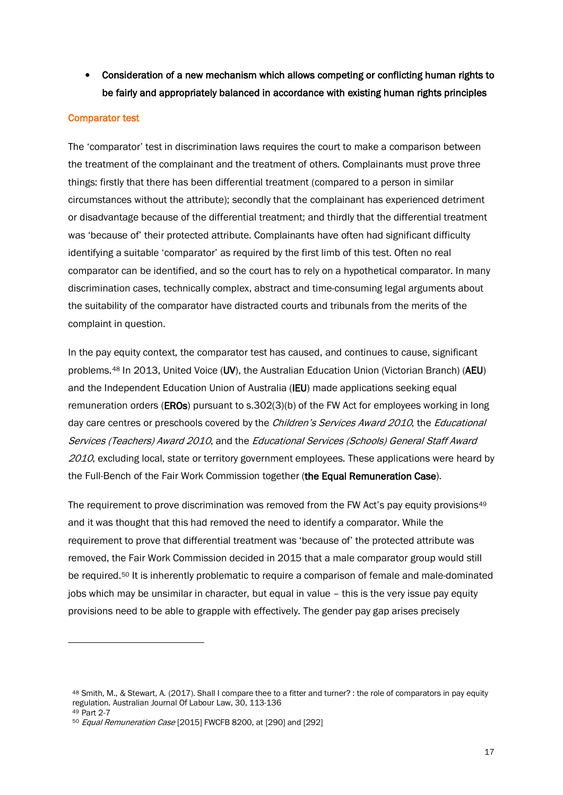• Consideration of a new mechanism which allows competing or conflicting human rights to be fairly and appropriately balanced in accordance with existing human rights principles

#### Comparator test

1

The 'comparator' test in discrimination laws requires the court to make a comparison between the treatment of the complainant and the treatment of others. Complainants must prove three things: firstly that there has been differential treatment (compared to a person in similar circumstances without the attribute); secondly that the complainant has experienced detriment or disadvantage because of the differential treatment; and thirdly that the differential treatment was 'because of' their protected attribute. Complainants have often had significant difficulty identifying a suitable 'comparator' as required by the first limb of this test. Often no real comparator can be identified, and so the court has to rely on a hypothetical comparator. In many discrimination cases, technically complex, abstract and time-consuming legal arguments about the suitability of the comparator have distracted courts and tribunals from the merits of the complaint in question.

In the pay equity context, the comparator test has caused, and continues to cause, significant problems.[48](#page-18-0) In 2013, United Voice (UV), the Australian Education Union (Victorian Branch) (AEU) and the Independent Education Union of Australia (IEU) made applications seeking equal remuneration orders (**EROs**) pursuant to s.302(3)(b) of the FW Act for employees working in long day care centres or preschools covered by the *Children's Services Award 2010*, the *Educational* Services (Teachers) Award 2010, and the Educational Services (Schools) General Staff Award 2010, excluding local, state or territory government employees. These applications were heard by the Full-Bench of the Fair Work Commission together (the Equal Remuneration Case).

The requirement to prove discrimination was removed from the FW Act's pay equity provisions<sup>[49](#page-18-1)</sup> and it was thought that this had removed the need to identify a comparator. While the requirement to prove that differential treatment was 'because of' the protected attribute was removed, the Fair Work Commission decided in 2015 that a male comparator group would still be required.[50](#page-18-2) It is inherently problematic to require a comparison of female and male-dominated jobs which may be unsimilar in character, but equal in value – this is the very issue pay equity provisions need to be able to grapple with effectively. The gender pay gap arises precisely

<span id="page-18-0"></span><sup>48</sup> Smith, M., & Stewart, A. (2017). Shall I compare thee to a fitter and turner? : the role of comparators in pay equity regulation. Australian Journal Of Labour Law, 30, 113-136 <sup>49</sup> Part 2-7

<span id="page-18-2"></span><span id="page-18-1"></span><sup>50</sup> Equal Remuneration Case [2015] FWCFB 8200, at [290] and [292]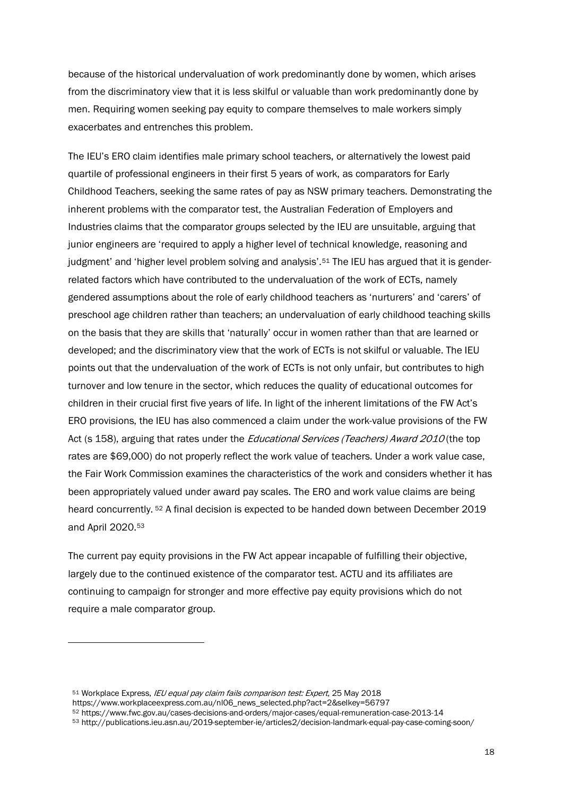because of the historical undervaluation of work predominantly done by women, which arises from the discriminatory view that it is less skilful or valuable than work predominantly done by men. Requiring women seeking pay equity to compare themselves to male workers simply exacerbates and entrenches this problem.

The IEU's ERO claim identifies male primary school teachers, or alternatively the lowest paid quartile of professional engineers in their first 5 years of work, as comparators for Early Childhood Teachers, seeking the same rates of pay as NSW primary teachers. Demonstrating the inherent problems with the comparator test, the Australian Federation of Employers and Industries claims that the comparator groups selected by the IEU are unsuitable, arguing that junior engineers are 'required to apply a higher level of technical knowledge, reasoning and judgment' and 'higher level problem solving and analysis'.[51](#page-19-0) The IEU has argued that it is genderrelated factors which have contributed to the undervaluation of the work of ECTs, namely gendered assumptions about the role of early childhood teachers as 'nurturers' and 'carers' of preschool age children rather than teachers; an undervaluation of early childhood teaching skills on the basis that they are skills that 'naturally' occur in women rather than that are learned or developed; and the discriminatory view that the work of ECTs is not skilful or valuable. The IEU points out that the undervaluation of the work of ECTs is not only unfair, but contributes to high turnover and low tenure in the sector, which reduces the quality of educational outcomes for children in their crucial first five years of life. In light of the inherent limitations of the FW Act's ERO provisions, the IEU has also commenced a claim under the work-value provisions of the FW Act (s 158), arguing that rates under the *Educational Services (Teachers) Award 2010* (the top rates are \$69,000) do not properly reflect the work value of teachers. Under a work value case, the Fair Work Commission examines the characteristics of the work and considers whether it has been appropriately valued under award pay scales. The ERO and work value claims are being heard concurrently. [52](#page-19-1) A final decision is expected to be handed down between December 2019 and April 2020.[53](#page-19-2)

The current pay equity provisions in the FW Act appear incapable of fulfilling their objective, largely due to the continued existence of the comparator test. ACTU and its affiliates are continuing to campaign for stronger and more effective pay equity provisions which do not require a male comparator group.

<span id="page-19-0"></span><sup>51</sup> Workplace Express, IEU equal pay claim fails comparison test: Expert, 25 May 2018

https://www.workplaceexpress.com.au/nl06\_news\_selected.php?act=2&selkey=56797

<span id="page-19-2"></span><span id="page-19-1"></span><sup>52</sup> https://www.fwc.gov.au/cases-decisions-and-orders/major-cases/equal-remuneration-case-2013-14

<sup>53</sup> http://publications.ieu.asn.au/2019-september-ie/articles2/decision-landmark-equal-pay-case-coming-soon/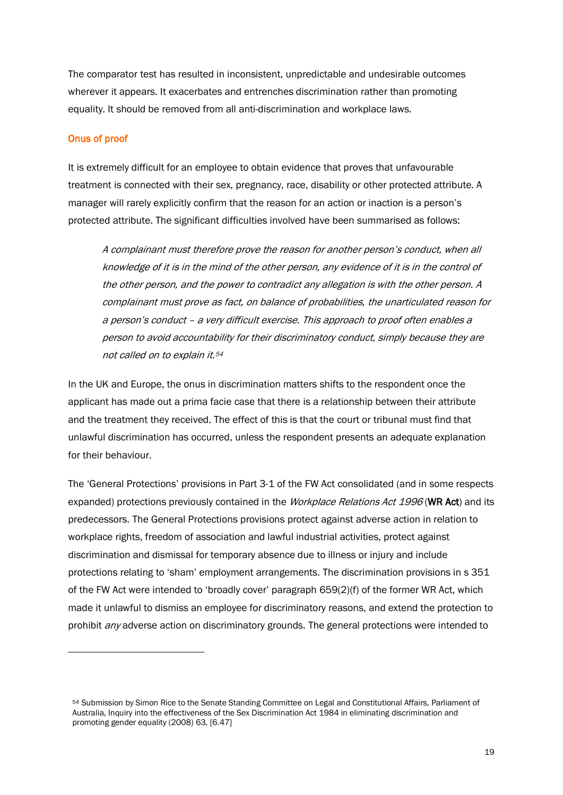The comparator test has resulted in inconsistent, unpredictable and undesirable outcomes wherever it appears. It exacerbates and entrenches discrimination rather than promoting equality. It should be removed from all anti-discrimination and workplace laws.

#### Onus of proof

 $\ddot{\phantom{a}}$ 

It is extremely difficult for an employee to obtain evidence that proves that unfavourable treatment is connected with their sex, pregnancy, race, disability or other protected attribute. A manager will rarely explicitly confirm that the reason for an action or inaction is a person's protected attribute. The significant difficulties involved have been summarised as follows:

A complainant must therefore prove the reason for another person's conduct, when all knowledge of it is in the mind of the other person, any evidence of it is in the control of the other person, and the power to contradict any allegation is with the other person. A complainant must prove as fact, on balance of probabilities, the unarticulated reason for a person's conduct – a very difficult exercise. This approach to proof often enables a person to avoid accountability for their discriminatory conduct, simply because they are not called on to explain it.[54](#page-20-0)

In the UK and Europe, the onus in discrimination matters shifts to the respondent once the applicant has made out a prima facie case that there is a relationship between their attribute and the treatment they received. The effect of this is that the court or tribunal must find that unlawful discrimination has occurred, unless the respondent presents an adequate explanation for their behaviour.

The 'General Protections' provisions in Part 3-1 of the FW Act consolidated (and in some respects expanded) protections previously contained in the *Workplace Relations Act 1996* (WR Act) and its predecessors. The General Protections provisions protect against adverse action in relation to workplace rights, freedom of association and lawful industrial activities, protect against discrimination and dismissal for temporary absence due to illness or injury and include protections relating to 'sham' employment arrangements. The discrimination provisions in s 351 of the FW Act were intended to 'broadly cover' paragraph 659(2)(f) of the former WR Act, which made it unlawful to dismiss an employee for discriminatory reasons, and extend the protection to prohibit *any* adverse action on discriminatory grounds. The general protections were intended to

<span id="page-20-0"></span><sup>54</sup> Submission by Simon Rice to the Senate Standing Committee on Legal and Constitutional Affairs, Parliament of Australia, Inquiry into the effectiveness of the Sex Discrimination Act 1984 in eliminating discrimination and promoting gender equality (2008) 63, [6.47]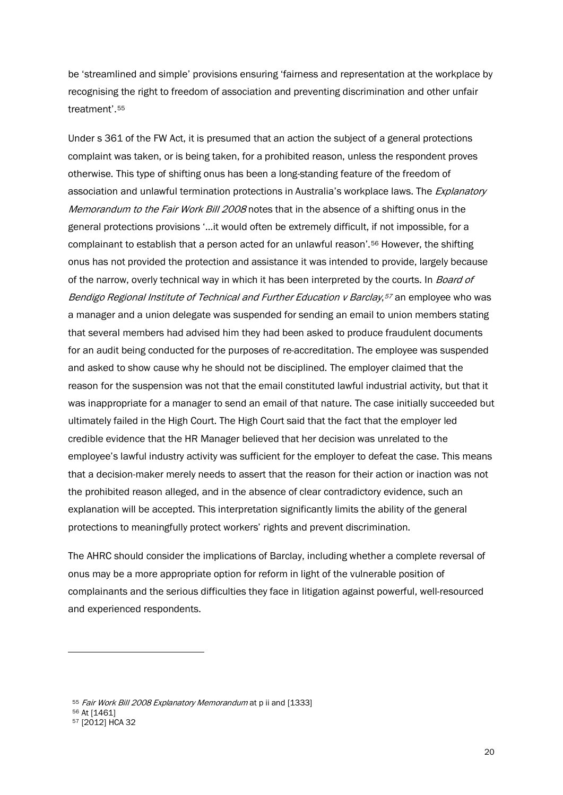be 'streamlined and simple' provisions ensuring 'fairness and representation at the workplace by recognising the right to freedom of association and preventing discrimination and other unfair treatment'.[55](#page-21-0)

Under s 361 of the FW Act, it is presumed that an action the subject of a general protections complaint was taken, or is being taken, for a prohibited reason, unless the respondent proves otherwise. This type of shifting onus has been a long-standing feature of the freedom of association and unlawful termination protections in Australia's workplace laws. The *Explanatory* Memorandum to the Fair Work Bill 2008 notes that in the absence of a shifting onus in the general protections provisions '…it would often be extremely difficult, if not impossible, for a complainant to establish that a person acted for an unlawful reason'.[56](#page-21-1) However, the shifting onus has not provided the protection and assistance it was intended to provide, largely because of the narrow, overly technical way in which it has been interpreted by the courts. In *Board of* Bendigo Regional Institute of Technical and Further Education v Barclay,<sup>[57](#page-21-2)</sup> an employee who was a manager and a union delegate was suspended for sending an email to union members stating that several members had advised him they had been asked to produce fraudulent documents for an audit being conducted for the purposes of re-accreditation. The employee was suspended and asked to show cause why he should not be disciplined. The employer claimed that the reason for the suspension was not that the email constituted lawful industrial activity, but that it was inappropriate for a manager to send an email of that nature. The case initially succeeded but ultimately failed in the High Court. The High Court said that the fact that the employer led credible evidence that the HR Manager believed that her decision was unrelated to the employee's lawful industry activity was sufficient for the employer to defeat the case. This means that a decision-maker merely needs to assert that the reason for their action or inaction was not the prohibited reason alleged, and in the absence of clear contradictory evidence, such an explanation will be accepted. This interpretation significantly limits the ability of the general protections to meaningfully protect workers' rights and prevent discrimination.

The AHRC should consider the implications of Barclay, including whether a complete reversal of onus may be a more appropriate option for reform in light of the vulnerable position of complainants and the serious difficulties they face in litigation against powerful, well-resourced and experienced respondents.

 $\ddot{\phantom{a}}$ 

<span id="page-21-0"></span><sup>55</sup> Fair Work Bill 2008 Explanatory Memorandum at p ii and [1333]

<span id="page-21-1"></span><sup>56</sup> At [1461]

<span id="page-21-2"></span><sup>57 [2012]</sup> HCA 32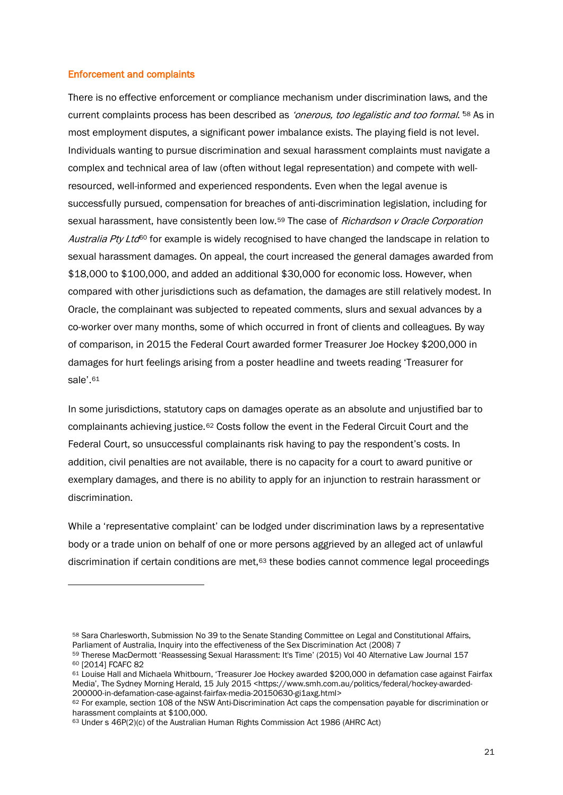#### Enforcement and complaints

1

There is no effective enforcement or compliance mechanism under discrimination laws, and the current complaints process has been described as 'onerous, too legalistic and too formal.<sup>[58](#page-22-0)</sup> As in most employment disputes, a significant power imbalance exists. The playing field is not level. Individuals wanting to pursue discrimination and sexual harassment complaints must navigate a complex and technical area of law (often without legal representation) and compete with wellresourced, well-informed and experienced respondents. Even when the legal avenue is successfully pursued, compensation for breaches of anti-discrimination legislation, including for sexual harassment, have consistently been low.<sup>[59](#page-22-1)</sup> The case of *Richardson v Oracle Corporation* Australia Pty Ltd<sup>[60](#page-22-2)</sup> for example is widely recognised to have changed the landscape in relation to sexual harassment damages. On appeal, the court increased the general damages awarded from \$18,000 to \$100,000, and added an additional \$30,000 for economic loss. However, when compared with other jurisdictions such as defamation, the damages are still relatively modest. In Oracle, the complainant was subjected to repeated comments, slurs and sexual advances by a co-worker over many months, some of which occurred in front of clients and colleagues. By way of comparison, in 2015 the Federal Court awarded former Treasurer Joe Hockey \$200,000 in damages for hurt feelings arising from a poster headline and tweets reading 'Treasurer for sale'.[61](#page-22-3)

In some jurisdictions, statutory caps on damages operate as an absolute and unjustified bar to complainants achieving justice.[62](#page-22-4) Costs follow the event in the Federal Circuit Court and the Federal Court, so unsuccessful complainants risk having to pay the respondent's costs. In addition, civil penalties are not available, there is no capacity for a court to award punitive or exemplary damages, and there is no ability to apply for an injunction to restrain harassment or discrimination.

While a 'representative complaint' can be lodged under discrimination laws by a representative body or a trade union on behalf of one or more persons aggrieved by an alleged act of unlawful discrimination if certain conditions are met,[63](#page-22-5) these bodies cannot commence legal proceedings

<span id="page-22-0"></span><sup>58</sup> Sara Charlesworth, Submission No 39 to the Senate Standing Committee on Legal and Constitutional Affairs, Parliament of Australia, Inquiry into the effectiveness of the Sex Discrimination Act (2008) 7

<span id="page-22-2"></span><span id="page-22-1"></span><sup>59</sup> Therese MacDermott 'Reassessing Sexual Harassment: It's Time' (2015) Vol 40 Alternative Law Journal 157<br>60 [2014] FCAFC 82

<span id="page-22-3"></span><sup>61</sup> Louise Hall and Michaela Whitbourn, 'Treasurer Joe Hockey awarded \$200,000 in defamation case against Fairfax Media', The Sydney Morning Herald, 15 July 2015 <https://www.smh.com.au/politics/federal/hockey-awarded-200000-in-defamation-case-against-fairfax-media-20150630-gi1axg.html>

<span id="page-22-4"></span><sup>62</sup> For example, section 108 of the NSW Anti-Discrimination Act caps the compensation payable for discrimination or harassment complaints at \$100,000.

<span id="page-22-5"></span><sup>63</sup> Under s 46P(2)(c) of the Australian Human Rights Commission Act 1986 (AHRC Act)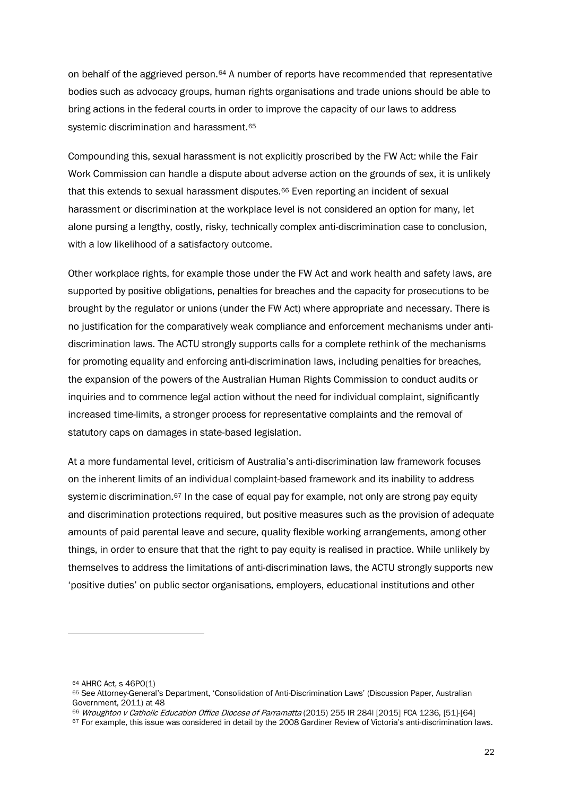on behalf of the aggrieved person.[64](#page-23-0) A number of reports have recommended that representative bodies such as advocacy groups, human rights organisations and trade unions should be able to bring actions in the federal courts in order to improve the capacity of our laws to address systemic discrimination and harassment.<sup>[65](#page-23-1)</sup>

Compounding this, sexual harassment is not explicitly proscribed by the FW Act: while the Fair Work Commission can handle a dispute about adverse action on the grounds of sex, it is unlikely that this extends to sexual harassment disputes.<sup>[66](#page-23-2)</sup> Even reporting an incident of sexual harassment or discrimination at the workplace level is not considered an option for many, let alone pursing a lengthy, costly, risky, technically complex anti-discrimination case to conclusion, with a low likelihood of a satisfactory outcome.

Other workplace rights, for example those under the FW Act and work health and safety laws, are supported by positive obligations, penalties for breaches and the capacity for prosecutions to be brought by the regulator or unions (under the FW Act) where appropriate and necessary. There is no justification for the comparatively weak compliance and enforcement mechanisms under antidiscrimination laws. The ACTU strongly supports calls for a complete rethink of the mechanisms for promoting equality and enforcing anti-discrimination laws, including penalties for breaches, the expansion of the powers of the Australian Human Rights Commission to conduct audits or inquiries and to commence legal action without the need for individual complaint, significantly increased time-limits, a stronger process for representative complaints and the removal of statutory caps on damages in state-based legislation.

At a more fundamental level, criticism of Australia's anti-discrimination law framework focuses on the inherent limits of an individual complaint-based framework and its inability to address systemic discrimination.<sup>[67](#page-23-3)</sup> In the case of equal pay for example, not only are strong pay equity and discrimination protections required, but positive measures such as the provision of adequate amounts of paid parental leave and secure, quality flexible working arrangements, among other things, in order to ensure that that the right to pay equity is realised in practice. While unlikely by themselves to address the limitations of anti-discrimination laws, the ACTU strongly supports new 'positive duties' on public sector organisations, employers, educational institutions and other

<span id="page-23-0"></span><sup>64</sup> AHRC Act, s 46PO(1)

<span id="page-23-1"></span><sup>65</sup> See Attorney-General's Department, 'Consolidation of Anti-Discrimination Laws' (Discussion Paper, Australian Government, 2011) at 48<br><sup>66</sup> Wroughton v Catholic Education Office Diocese of Parramatta (2015) 255 IR 284I [2015] FCA 1236, [51]-[64]

<span id="page-23-3"></span><span id="page-23-2"></span><sup>67</sup> For example, this issue was considered in detail by the 2008 Gardiner Review of Victoria's anti-discrimination laws.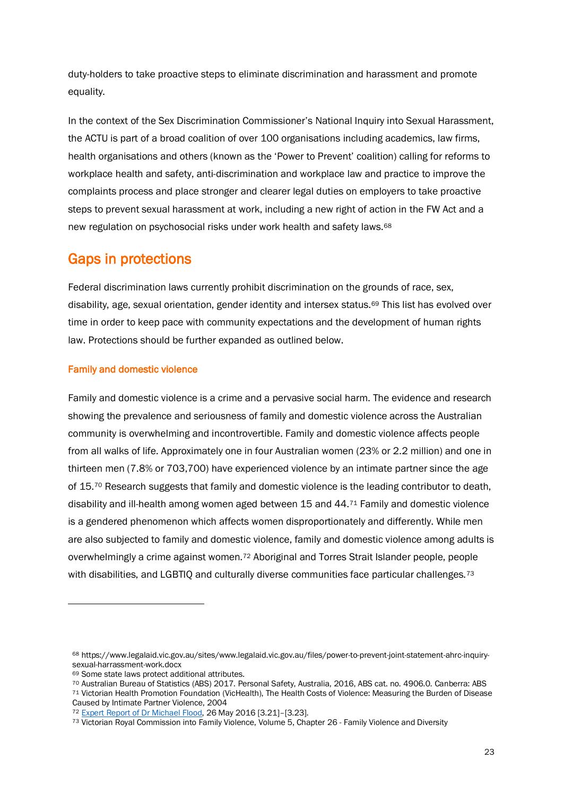duty-holders to take proactive steps to eliminate discrimination and harassment and promote equality.

In the context of the Sex Discrimination Commissioner's National Inquiry into Sexual Harassment, the ACTU is part of a broad coalition of over 100 organisations including academics, law firms, health organisations and others (known as the 'Power to Prevent' coalition) calling for reforms to workplace health and safety, anti-discrimination and workplace law and practice to improve the complaints process and place stronger and clearer legal duties on employers to take proactive steps to prevent sexual harassment at work, including a new right of action in the FW Act and a new regulation on psychosocial risks under work health and safety laws.[68](#page-24-0)

## Gaps in protections

Federal discrimination laws currently prohibit discrimination on the grounds of race, sex, disability, age, sexual orientation, gender identity and intersex status.[69](#page-24-1) This list has evolved over time in order to keep pace with community expectations and the development of human rights law. Protections should be further expanded as outlined below.

#### Family and domestic violence

Family and domestic violence is a crime and a pervasive social harm. The evidence and research showing the prevalence and seriousness of family and domestic violence across the Australian community is overwhelming and incontrovertible. Family and domestic violence affects people from all walks of life. Approximately one in four Australian women (23% or 2.2 million) and one in thirteen men (7.8% or 703,700) have experienced violence by an intimate partner since the age of 15.<sup>[70](#page-24-2)</sup> Research suggests that family and domestic violence is the leading contributor to death, disability and ill-health among women aged between 15 and 44.[71](#page-24-3) Family and domestic violence is a gendered phenomenon which affects women disproportionately and differently. While men are also subjected to family and domestic violence, family and domestic violence among adults is overwhelmingly a crime against women.[72](#page-24-4) Aboriginal and Torres Strait Islander people, people with disabilities, and LGBTIQ and culturally diverse communities face particular challenges.<sup>[73](#page-24-5)</sup>

1

<span id="page-24-3"></span>Caused by Intimate Partner Violence, 2004

<span id="page-24-0"></span><sup>68</sup> https://www.legalaid.vic.gov.au/sites/www.legalaid.vic.gov.au/files/power-to-prevent-joint-statement-ahrc-inquirysexual-harrassment-work.docx<br><sup>69</sup> Some state laws protect additional attributes.

<span id="page-24-2"></span><span id="page-24-1"></span><sup>70</sup> Australian Bureau of Statistics (ABS) 2017. Personal Safety, Australia, 2016, ABS cat. no. 4906.0. Canberra: ABS<br>71 Victorian Health Promotion Foundation (VicHealth), The Health Costs of Violence: Measuring the Burden o

<span id="page-24-4"></span><sup>72</sup> [Expert Report of Dr Michael Flood,](https://www.fwc.gov.au/documents/sites/awardsmodernfouryr/common/exportreport-flood.pdf) 26 May 2016 [3.21]–[3.23].

<span id="page-24-5"></span><sup>73</sup> Victorian Royal Commission into Family Violence, Volume 5, Chapter 26 - Family Violence and Diversity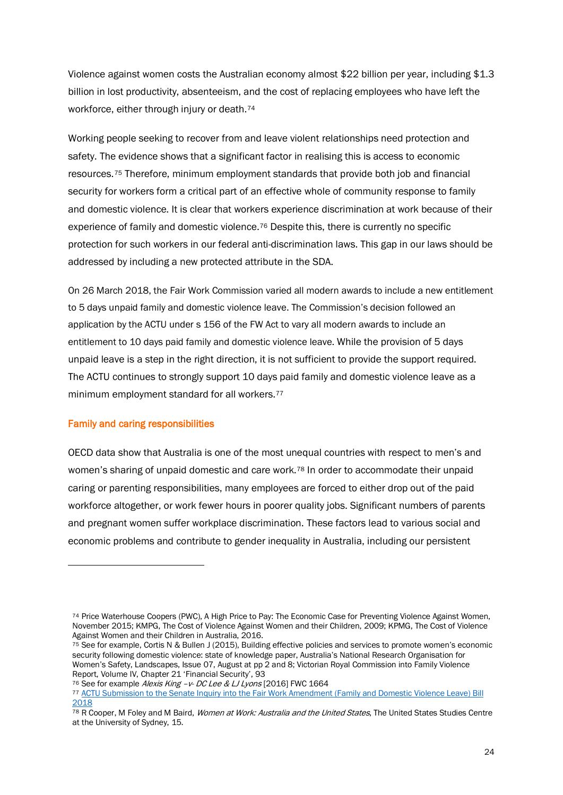Violence against women costs the Australian economy almost \$22 billion per year, including \$1.3 billion in lost productivity, absenteeism, and the cost of replacing employees who have left the workforce, either through injury or death.[74](#page-25-0)

Working people seeking to recover from and leave violent relationships need protection and safety. The evidence shows that a significant factor in realising this is access to economic resources.[75](#page-25-1) Therefore, minimum employment standards that provide both job and financial security for workers form a critical part of an effective whole of community response to family and domestic violence. It is clear that workers experience discrimination at work because of their experience of family and domestic violence.[76](#page-25-2) Despite this, there is currently no specific protection for such workers in our federal anti-discrimination laws. This gap in our laws should be addressed by including a new protected attribute in the SDA.

On 26 March 2018, the Fair Work Commission varied all modern awards to include a new entitlement to 5 days unpaid family and domestic violence leave. The Commission's decision followed an application by the ACTU under s 156 of the FW Act to vary all modern awards to include an entitlement to 10 days paid family and domestic violence leave. While the provision of 5 days unpaid leave is a step in the right direction, it is not sufficient to provide the support required. The ACTU continues to strongly support 10 days paid family and domestic violence leave as a minimum employment standard for all workers.[77](#page-25-3)

#### Family and caring responsibilities

 $\overline{a}$ 

OECD data show that Australia is one of the most unequal countries with respect to men's and women's sharing of unpaid domestic and care work.[78](#page-25-4) In order to accommodate their unpaid caring or parenting responsibilities, many employees are forced to either drop out of the paid workforce altogether, or work fewer hours in poorer quality jobs. Significant numbers of parents and pregnant women suffer workplace discrimination. These factors lead to various social and economic problems and contribute to gender inequality in Australia, including our persistent

<span id="page-25-0"></span><sup>74</sup> Price Waterhouse Coopers (PWC), A High Price to Pay: The Economic Case for Preventing Violence Against Women, November 2015; KMPG, The Cost of Violence Against Women and their Children, 2009; KPMG, The Cost of Violence Against Women and their Children in Australia, 2016.

<span id="page-25-1"></span><sup>&</sup>lt;sup>75</sup> See for example, Cortis N & Bullen J (2015), Building effective policies and services to promote women's economic security following domestic violence: state of knowledge paper, Australia's National Research Organisation for Women's Safety, Landscapes, Issue 07, August at pp 2 and 8; Victorian Royal Commission into Family Violence Report, Volume IV, Chapter 21 'Financial Security', 93

<span id="page-25-3"></span><span id="page-25-2"></span><sup>76</sup> See for example Alexis King -v- DC Lee & LJ Lyons [2016] FWC 1664

<sup>77</sup> ACTU Submission to the Senate Inquiry into the Fair Work Amendment (Family and Domestic Violence Leave) Bill [2018](https://www.aph.gov.au/DocumentStore.ashx?id=ece68e4d-9c1a-4a6c-8006-da185c698c38&subId=660407)

<span id="page-25-4"></span><sup>&</sup>lt;sup>78</sup> R Cooper, M Foley and M Baird, *Women at Work: Australia and the United States*, The United States Studies Centre at the University of Sydney, 15.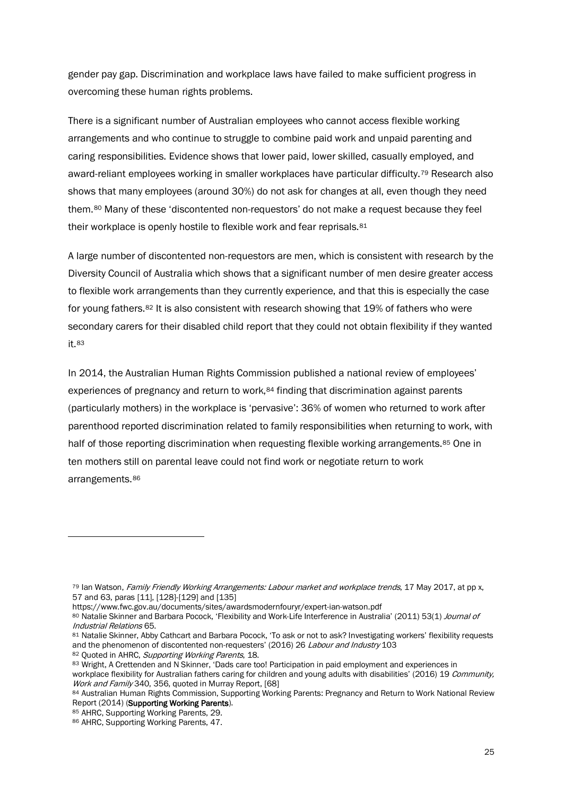gender pay gap. Discrimination and workplace laws have failed to make sufficient progress in overcoming these human rights problems.

There is a significant number of Australian employees who cannot access flexible working arrangements and who continue to struggle to combine paid work and unpaid parenting and caring responsibilities. Evidence shows that lower paid, lower skilled, casually employed, and award-reliant employees working in smaller workplaces have particular difficulty.[79](#page-26-0) Research also shows that many employees (around 30%) do not ask for changes at all, even though they need them.[80](#page-26-1) Many of these 'discontented non-requestors' do not make a request because they feel their workplace is openly hostile to flexible work and fear reprisals. [81](#page-26-2)

A large number of discontented non-requestors are men, which is consistent with research by the Diversity Council of Australia which shows that a significant number of men desire greater access to flexible work arrangements than they currently experience, and that this is especially the case for young fathers.[82](#page-26-3) It is also consistent with research showing that 19% of fathers who were secondary carers for their disabled child report that they could not obtain flexibility if they wanted it.[83](#page-26-4)

In 2014, the Australian Human Rights Commission published a national review of employees' experiences of pregnancy and return to work,<sup>[84](#page-26-5)</sup> finding that discrimination against parents (particularly mothers) in the workplace is 'pervasive': 36% of women who returned to work after parenthood reported discrimination related to family responsibilities when returning to work, with half of those reporting discrimination when requesting flexible working arrangements.<sup>[85](#page-26-6)</sup> One in ten mothers still on parental leave could not find work or negotiate return to work arrangements.[86](#page-26-7)

<span id="page-26-0"></span><sup>79</sup> Ian Watson, Family Friendly Working Arrangements: Labour market and workplace trends, 17 May 2017, at pp x, 57 and 63, paras [11], [128]-[129] and [135]

https://www.fwc.gov.au/documents/sites/awardsmodernfouryr/expert-ian-watson.pdf

<span id="page-26-1"></span><sup>80</sup> Natalie Skinner and Barbara Pocock, 'Flexibility and Work-Life Interference in Australia' (2011) 53(1) Journal of Industrial Relations 65.

<span id="page-26-2"></span><sup>81</sup> Natalie Skinner, Abby Cathcart and Barbara Pocock, 'To ask or not to ask? Investigating workers' flexibility requests and the phenomenon of discontented non-requesters' (2016) 26 Labour and Industry 103

<sup>82</sup> Quoted in AHRC, Supporting Working Parents, 18.

<span id="page-26-4"></span><span id="page-26-3"></span><sup>83</sup> Wright, A Crettenden and N Skinner, 'Dads care too! Participation in paid employment and experiences in

workplace flexibility for Australian fathers caring for children and young adults with disabilities' (2016) 19 Community, Work and Family 340, 356, quoted in Murray Report, [68]

<span id="page-26-5"></span><sup>84</sup> Australian Human Rights Commission, Supporting Working Parents: Pregnancy and Return to Work National Review Report (2014) (Supporting Working Parents).

<span id="page-26-6"></span><sup>85</sup> AHRC, Supporting Working Parents, 29.

<span id="page-26-7"></span><sup>86</sup> AHRC, Supporting Working Parents, 47.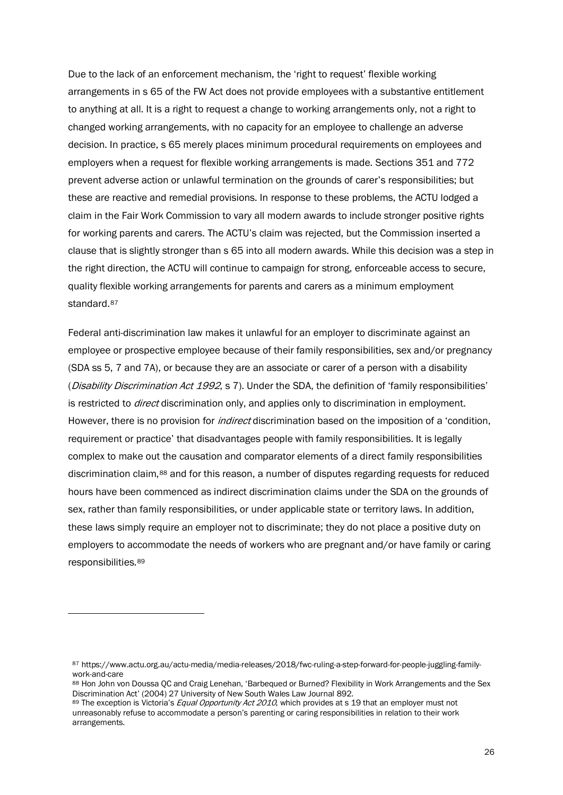Due to the lack of an enforcement mechanism, the 'right to request' flexible working arrangements in s 65 of the FW Act does not provide employees with a substantive entitlement to anything at all. It is a right to request a change to working arrangements only, not a right to changed working arrangements, with no capacity for an employee to challenge an adverse decision. In practice, s 65 merely places minimum procedural requirements on employees and employers when a request for flexible working arrangements is made. Sections 351 and 772 prevent adverse action or unlawful termination on the grounds of carer's responsibilities; but these are reactive and remedial provisions. In response to these problems, the ACTU lodged a claim in the Fair Work Commission to vary all modern awards to include stronger positive rights for working parents and carers. The ACTU's claim was rejected, but the Commission inserted a clause that is slightly stronger than s 65 into all modern awards. While this decision was a step in the right direction, the ACTU will continue to campaign for strong, enforceable access to secure, quality flexible working arrangements for parents and carers as a minimum employment standard.<sup>[87](#page-27-0)</sup>

Federal anti-discrimination law makes it unlawful for an employer to discriminate against an employee or prospective employee because of their family responsibilities, sex and/or pregnancy (SDA ss 5, 7 and 7A), or because they are an associate or carer of a person with a disability (Disability Discrimination Act 1992, s 7). Under the SDA, the definition of 'family responsibilities' is restricted to *direct* discrimination only, and applies only to discrimination in employment. However, there is no provision for *indirect* discrimination based on the imposition of a 'condition, requirement or practice' that disadvantages people with family responsibilities. It is legally complex to make out the causation and comparator elements of a direct family responsibilities discrimination claim,[88](#page-27-1) and for this reason, a number of disputes regarding requests for reduced hours have been commenced as indirect discrimination claims under the SDA on the grounds of sex, rather than family responsibilities, or under applicable state or territory laws. In addition, these laws simply require an employer not to discriminate; they do not place a positive duty on employers to accommodate the needs of workers who are pregnant and/or have family or caring responsibilities.[89](#page-27-2)

<span id="page-27-0"></span><sup>87</sup> https://www.actu.org.au/actu-media/media-releases/2018/fwc-ruling-a-step-forward-for-people-juggling-familywork-and-care

<span id="page-27-1"></span><sup>88</sup> Hon John von Doussa OC and Craig Lenehan, 'Barbequed or Burned? Flexibility in Work Arrangements and the Sex Discrimination Act' (2004) 27 University of New South Wales Law Journal 892.

<span id="page-27-2"></span><sup>89</sup> The exception is Victoria's *Equal Opportunity Act 2010*, which provides at s 19 that an employer must not unreasonably refuse to accommodate a person's parenting or caring responsibilities in relation to their work arrangements.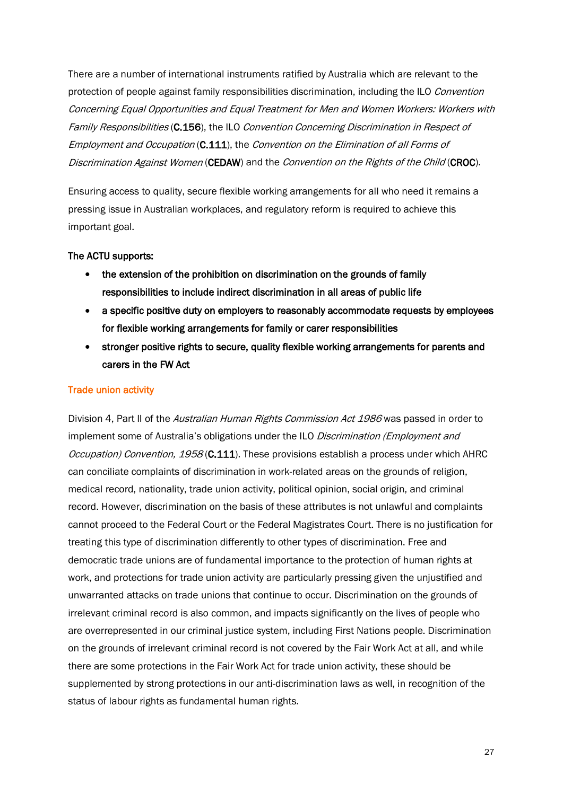There are a number of international instruments ratified by Australia which are relevant to the protection of people against family responsibilities discrimination, including the ILO Convention Concerning Equal Opportunities and Equal Treatment for Men and Women Workers: Workers with Family Responsibilities (C.156), the ILO Convention Concerning Discrimination in Respect of Employment and Occupation (C.111), the Convention on the Elimination of all Forms of Discrimination Against Women (CEDAW) and the Convention on the Rights of the Child (CROC).

Ensuring access to quality, secure flexible working arrangements for all who need it remains a pressing issue in Australian workplaces, and regulatory reform is required to achieve this important goal.

#### The ACTU supports:

- the extension of the prohibition on discrimination on the grounds of family responsibilities to include indirect discrimination in all areas of public life
- a specific positive duty on employers to reasonably accommodate requests by employees for flexible working arrangements for family or carer responsibilities
- stronger positive rights to secure, quality flexible working arrangements for parents and carers in the FW Act

#### Trade union activity

Division 4, Part II of the Australian Human Rights Commission Act 1986 was passed in order to implement some of Australia's obligations under the ILO Discrimination (Employment and Occupation) Convention, 1958 (C.111). These provisions establish a process under which AHRC can conciliate complaints of discrimination in work-related areas on the grounds of religion, medical record, nationality, trade union activity, political opinion, social origin, and criminal record. However, discrimination on the basis of these attributes is not unlawful and complaints cannot proceed to the Federal Court or the Federal Magistrates Court. There is no justification for treating this type of discrimination differently to other types of discrimination. Free and democratic trade unions are of fundamental importance to the protection of human rights at work, and protections for trade union activity are particularly pressing given the unjustified and unwarranted attacks on trade unions that continue to occur. Discrimination on the grounds of irrelevant criminal record is also common, and impacts significantly on the lives of people who are overrepresented in our criminal justice system, including First Nations people. Discrimination on the grounds of irrelevant criminal record is not covered by the Fair Work Act at all, and while there are some protections in the Fair Work Act for trade union activity, these should be supplemented by strong protections in our anti-discrimination laws as well, in recognition of the status of labour rights as fundamental human rights.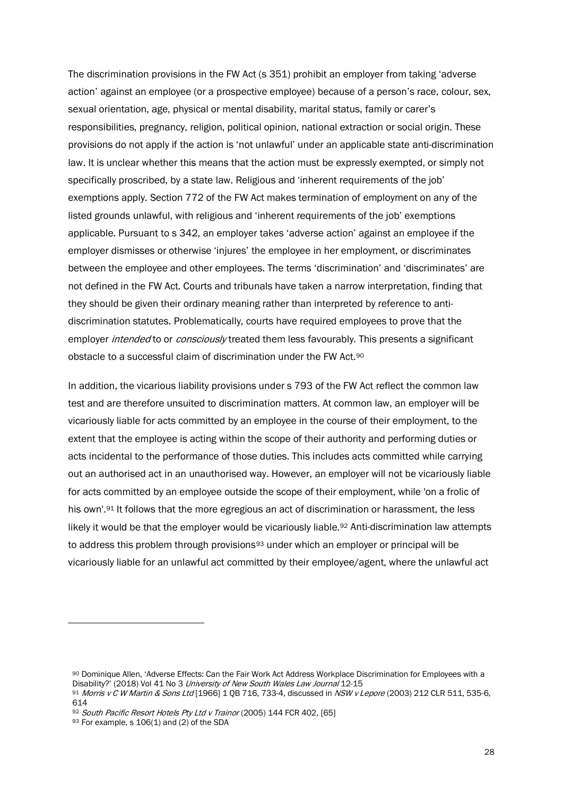The discrimination provisions in the FW Act (s 351) prohibit an employer from taking 'adverse action' against an employee (or a prospective employee) because of a person's race, colour, sex, sexual orientation, age, physical or mental disability, marital status, family or carer's responsibilities, pregnancy, religion, political opinion, national extraction or social origin. These provisions do not apply if the action is 'not unlawful' under an applicable state anti-discrimination law. It is unclear whether this means that the action must be expressly exempted, or simply not specifically proscribed, by a state law. Religious and 'inherent requirements of the job' exemptions apply. Section 772 of the FW Act makes termination of employment on any of the listed grounds unlawful, with religious and 'inherent requirements of the job' exemptions applicable. Pursuant to s 342, an employer takes 'adverse action' against an employee if the employer dismisses or otherwise 'injures' the employee in her employment, or discriminates between the employee and other employees. The terms 'discrimination' and 'discriminates' are not defined in the FW Act. Courts and tribunals have taken a narrow interpretation, finding that they should be given their ordinary meaning rather than interpreted by reference to antidiscrimination statutes. Problematically, courts have required employees to prove that the employer *intended* to or *consciously* treated them less favourably. This presents a significant obstacle to a successful claim of discrimination under the FW Act.[90](#page-29-0) 

In addition, the vicarious liability provisions under s 793 of the FW Act reflect the common law test and are therefore unsuited to discrimination matters. At common law, an employer will be vicariously liable for acts committed by an employee in the course of their employment, to the extent that the employee is acting within the scope of their authority and performing duties or acts incidental to the performance of those duties. This includes acts committed while carrying out an authorised act in an unauthorised way. However, an employer will not be vicariously liable for acts committed by an employee outside the scope of their employment, while 'on a frolic of his own'.<sup>[91](#page-29-1)</sup> It follows that the more egregious an act of discrimination or harassment, the less likely it would be that the employer would be vicariously liable.<sup>[92](#page-29-2)</sup> Anti-discrimination law attempts to address this problem through provisions<sup>[93](#page-29-3)</sup> under which an employer or principal will be vicariously liable for an unlawful act committed by their employee/agent, where the unlawful act

 $\ddot{\phantom{a}}$ 

<span id="page-29-0"></span><sup>90</sup> Dominique Allen, 'Adverse Effects: Can the Fair Work Act Address Workplace Discrimination for Employees with a Disability?' (2018) Vol 41 No 3 University of New South Wales Law Journal 12-15

<span id="page-29-1"></span><sup>91</sup> Morris v C W Martin & Sons Ltd [1966] 1 QB 716, 733-4, discussed in NSW v Lepore (2003) 212 CLR 511, 535-6, 614

<span id="page-29-2"></span><sup>92</sup> South Pacific Resort Hotels Pty Ltd v Trainor (2005) 144 FCR 402, [65]

<span id="page-29-3"></span><sup>93</sup> For example, s  $106(1)$  and (2) of the SDA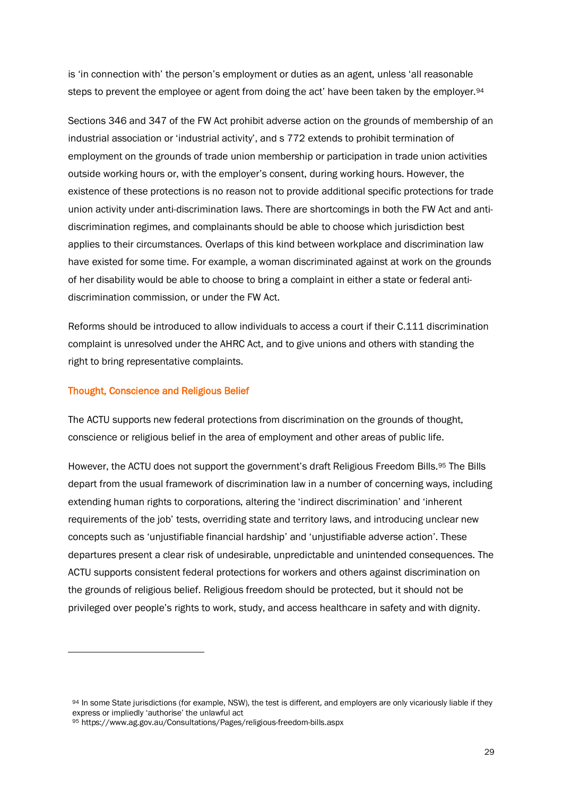is 'in connection with' the person's employment or duties as an agent, unless 'all reasonable steps to prevent the employee or agent from doing the act' have been taken by the employer.<sup>[94](#page-30-0)</sup>

Sections 346 and 347 of the FW Act prohibit adverse action on the grounds of membership of an industrial association or 'industrial activity', and s 772 extends to prohibit termination of employment on the grounds of trade union membership or participation in trade union activities outside working hours or, with the employer's consent, during working hours. However, the existence of these protections is no reason not to provide additional specific protections for trade union activity under anti-discrimination laws. There are shortcomings in both the FW Act and antidiscrimination regimes, and complainants should be able to choose which jurisdiction best applies to their circumstances. Overlaps of this kind between workplace and discrimination law have existed for some time. For example, a woman discriminated against at work on the grounds of her disability would be able to choose to bring a complaint in either a state or federal antidiscrimination commission, or under the FW Act.

Reforms should be introduced to allow individuals to access a court if their C.111 discrimination complaint is unresolved under the AHRC Act, and to give unions and others with standing the right to bring representative complaints.

#### Thought, Conscience and Religious Belief

 $\ddot{\phantom{a}}$ 

The ACTU supports new federal protections from discrimination on the grounds of thought, conscience or religious belief in the area of employment and other areas of public life.

However, the ACTU does not support the government's draft Religious Freedom Bills.[95](#page-30-1) The Bills depart from the usual framework of discrimination law in a number of concerning ways, including extending human rights to corporations, altering the 'indirect discrimination' and 'inherent requirements of the job' tests, overriding state and territory laws, and introducing unclear new concepts such as 'unjustifiable financial hardship' and 'unjustifiable adverse action'. These departures present a clear risk of undesirable, unpredictable and unintended consequences. The ACTU supports consistent federal protections for workers and others against discrimination on the grounds of religious belief. Religious freedom should be protected, but it should not be privileged over people's rights to work, study, and access healthcare in safety and with dignity.

<span id="page-30-0"></span><sup>94</sup> In some State jurisdictions (for example, NSW), the test is different, and employers are only vicariously liable if they express or impliedly 'authorise' the unlawful act

<span id="page-30-1"></span><sup>95</sup> https://www.ag.gov.au/Consultations/Pages/religious-freedom-bills.aspx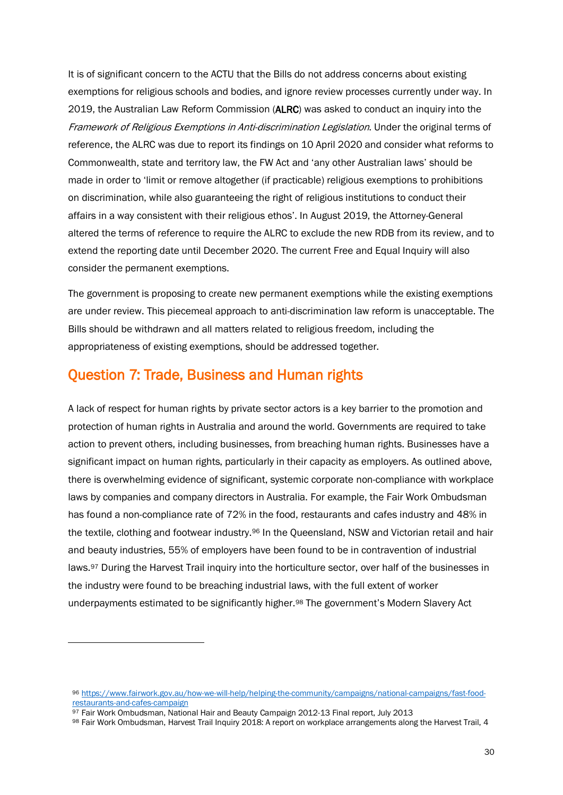It is of significant concern to the ACTU that the Bills do not address concerns about existing exemptions for religious schools and bodies, and ignore review processes currently under way. In 2019, the Australian Law Reform Commission (ALRC) was asked to conduct an inquiry into the Framework of Religious Exemptions in Anti-discrimination Legislation. Under the original terms of reference, the ALRC was due to report its findings on 10 April 2020 and consider what reforms to Commonwealth, state and territory law, the FW Act and 'any other Australian laws' should be made in order to 'limit or remove altogether (if practicable) religious exemptions to prohibitions on discrimination, while also guaranteeing the right of religious institutions to conduct their affairs in a way consistent with their religious ethos'. In August 2019, the Attorney-General altered the terms of reference to require the ALRC to exclude the new RDB from its review, and to extend the reporting date until December 2020. The current Free and Equal Inquiry will also consider the permanent exemptions.

The government is proposing to create new permanent exemptions while the existing exemptions are under review. This piecemeal approach to anti-discrimination law reform is unacceptable. The Bills should be withdrawn and all matters related to religious freedom, including the appropriateness of existing exemptions, should be addressed together.

# Question 7: Trade, Business and Human rights

A lack of respect for human rights by private sector actors is a key barrier to the promotion and protection of human rights in Australia and around the world. Governments are required to take action to prevent others, including businesses, from breaching human rights. Businesses have a significant impact on human rights, particularly in their capacity as employers. As outlined above, there is overwhelming evidence of significant, systemic corporate non-compliance with workplace laws by companies and company directors in Australia. For example, the Fair Work Ombudsman has found a non-compliance rate of 72% in the food, restaurants and cafes industry and 48% in the textile, clothing and footwear industry.[96](#page-31-0) In the Queensland, NSW and Victorian retail and hair and beauty industries, 55% of employers have been found to be in contravention of industrial laws.[97](#page-31-1) During the Harvest Trail inquiry into the horticulture sector, over half of the businesses in the industry were found to be breaching industrial laws, with the full extent of worker underpayments estimated to be significantly higher.<sup>[98](#page-31-2)</sup> The government's Modern Slavery Act

<span id="page-31-0"></span><sup>96</sup> [https://www.fairwork.gov.au/how-we-will-help/helping-the-community/campaigns/national-campaigns/fast-food](https://www.fairwork.gov.au/how-we-will-help/helping-the-community/campaigns/national-campaigns/fast-food-restaurants-and-cafes-campaign)[restaurants-and-cafes-campaign](https://www.fairwork.gov.au/how-we-will-help/helping-the-community/campaigns/national-campaigns/fast-food-restaurants-and-cafes-campaign)

<span id="page-31-1"></span><sup>97</sup> Fair Work Ombudsman, National Hair and Beauty Campaign 2012-13 Final report, July 2013

<span id="page-31-2"></span><sup>98</sup> Fair Work Ombudsman, Harvest Trail Inquiry 2018: A report on workplace arrangements along the Harvest Trail, 4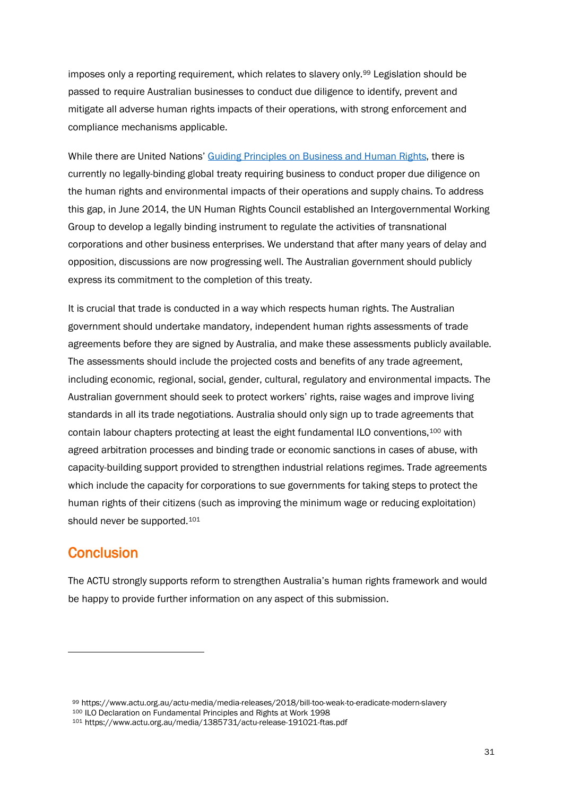imposes only a reporting requirement, which relates to slavery only.[99](#page-32-0) Legislation should be passed to require Australian businesses to conduct due diligence to identify, prevent and mitigate all adverse human rights impacts of their operations, with strong enforcement and compliance mechanisms applicable.

While there are United Nations[' Guiding Principles on Business and Human Rights,](https://www.ohchr.org/EN/HRBodies/HRC/WGTransCorp/Session5/Pages/Session5.aspx) there is currently no legally-binding global treaty requiring business to conduct proper due diligence on the human rights and environmental impacts of their operations and supply chains. To address this gap, in June 2014, the UN Human Rights Council established an Intergovernmental Working Group to develop a legally binding instrument to regulate the activities of transnational corporations and other business enterprises. We understand that after many years of delay and opposition, discussions are now progressing well. The Australian government should publicly express its commitment to the completion of this treaty.

It is crucial that trade is conducted in a way which respects human rights. The Australian government should undertake mandatory, independent human rights assessments of trade agreements before they are signed by Australia, and make these assessments publicly available. The assessments should include the projected costs and benefits of any trade agreement, including economic, regional, social, gender, cultural, regulatory and environmental impacts. The Australian government should seek to protect workers' rights, raise wages and improve living standards in all its trade negotiations. Australia should only sign up to trade agreements that contain labour chapters protecting at least the eight fundamental ILO conventions,[100](#page-32-1) with agreed arbitration processes and binding trade or economic sanctions in cases of abuse, with capacity-building support provided to strengthen industrial relations regimes. Trade agreements which include the capacity for corporations to sue governments for taking steps to protect the human rights of their citizens (such as improving the minimum wage or reducing exploitation) should never be supported.<sup>101</sup>

# **Conclusion**

 $\ddot{\phantom{a}}$ 

The ACTU strongly supports reform to strengthen Australia's human rights framework and would be happy to provide further information on any aspect of this submission.

<span id="page-32-2"></span><span id="page-32-1"></span><span id="page-32-0"></span>99 https://www.actu.org.au/actu-media/media-releases/2018/bill-too-weak-to-eradicate-modern-slavery<br>100 ILO Declaration on Fundamental Principles and Rights at Work 1998 101 https://www.actu.org.au/media/1385731/actu-release-191021-ftas.pdf